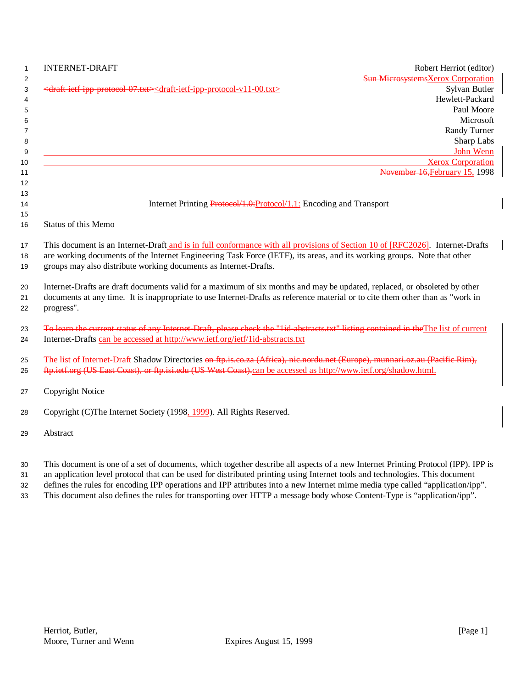| $\mathbf{1}$        | <b>INTERNET-DRAFT</b><br>Robert Herriot (editor)                                                                                                                                                          |
|---------------------|-----------------------------------------------------------------------------------------------------------------------------------------------------------------------------------------------------------|
| $\overline{2}$<br>3 | <b>Sun Microsystems</b> Xerox Corporation<br><draft-ietf-ipp-protocol-07.txt><draft-ietf-ipp-protocol-v11-00.txt><br/>Sylvan Butler</draft-ietf-ipp-protocol-v11-00.txt></draft-ietf-ipp-protocol-07.txt> |
| 4                   | Hewlett-Packard                                                                                                                                                                                           |
| 5                   | Paul Moore                                                                                                                                                                                                |
| 6                   | Microsoft                                                                                                                                                                                                 |
| 7                   | Randy Turner                                                                                                                                                                                              |
| 8                   | Sharp Labs                                                                                                                                                                                                |
| 9                   | John Wenn                                                                                                                                                                                                 |
| 10                  | <b>Xerox Corporation</b>                                                                                                                                                                                  |
| 11                  | November 16, February 15, 1998                                                                                                                                                                            |
| 12                  |                                                                                                                                                                                                           |
| 13<br>14            | Internet Printing Protocol/1.0: Protocol/1.1: Encoding and Transport                                                                                                                                      |
| 15                  |                                                                                                                                                                                                           |
| 16                  | Status of this Memo                                                                                                                                                                                       |
| 17                  | This document is an Internet-Draft and is in full conformance with all provisions of Section 10 of [RFC2026]. Internet-Drafts                                                                             |
| 18                  | are working documents of the Internet Engineering Task Force (IETF), its areas, and its working groups. Note that other                                                                                   |
| 19                  | groups may also distribute working documents as Internet-Drafts.                                                                                                                                          |
| 20                  | Internet-Drafts are draft documents valid for a maximum of six months and may be updated, replaced, or obsoleted by other                                                                                 |
| 21                  | documents at any time. It is inappropriate to use Internet-Drafts as reference material or to cite them other than as "work in                                                                            |
| 22                  | progress".                                                                                                                                                                                                |
| 23                  | To learn the current status of any Internet-Draft, please check the "lid-abstracts.txt" listing contained in the The list of current                                                                      |
| 24                  | Internet-Drafts can be accessed at http://www.ietf.org/ietf/1id-abstracts.txt                                                                                                                             |
| 25                  | The list of Internet-Draft Shadow Directories on ftp.is.co.za (Africa), nic.nordu.net (Europe), munnari.oz.au (Pacific Rim),                                                                              |
| 26                  | ftp.ietf.org (US East Coast), or ftp.isi.edu (US West Coast).can be accessed as http://www.ietf.org/shadow.html.                                                                                          |
| 27                  | Copyright Notice                                                                                                                                                                                          |
| 28                  | Copyright (C)The Internet Society (1998, 1999). All Rights Reserved.                                                                                                                                      |
| 29                  | Abstract                                                                                                                                                                                                  |
| ৭∩                  | This document is one of a set of documents, which together describe all aspects of a new Internet Printing Protocol (IPP). IPP is                                                                         |

30 This document is one of a set of documents, which together describe all aspects of a new Internet Printing Protocol (IPP). IPP is

31 an application level protocol that can be used for distributed printing using Internet tools and technologies. This document 32 defines the rules for encoding IPP operations and IPP attributes into a new Internet mime media type called "application/ipp".

33 This document also defines the rules for transporting over HTTP a message body whose Content-Type is "application/ipp".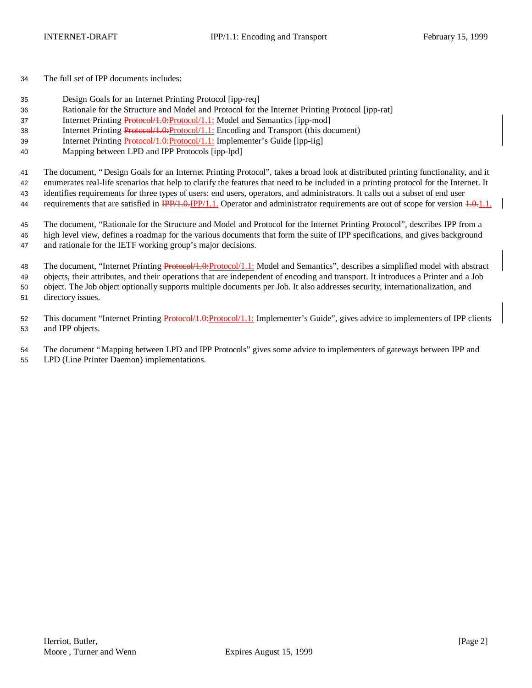The full set of IPP documents includes:

- Design Goals for an Internet Printing Protocol [ipp-req]
- Rationale for the Structure and Model and Protocol for the Internet Printing Protocol [ipp-rat]
- 37 Internet Printing Protocol/1.0:Protocol/1.1: Model and Semantics [ipp-mod]
- Internet Printing Protocol/1.0:Protocol/1.1: Encoding and Transport (this document)
- 39 Internet Printing Protocol/1.0: Protocol/1.1: Implementer's Guide [ipp-iig]
- Mapping between LPD and IPP Protocols [ipp-lpd]

The document, "Design Goals for an Internet Printing Protocol", takes a broad look at distributed printing functionality, and it

enumerates real-life scenarios that help to clarify the features that need to be included in a printing protocol for the Internet. It

- identifies requirements for three types of users: end users, operators, and administrators. It calls out a subset of end user 44 requirements that are satisfied in  $\frac{IPP}{1.0}$ . Operator and administrator requirements are out of scope for version  $\frac{1.0}{1.0}$ .
- 

 The document, "Rationale for the Structure and Model and Protocol for the Internet Printing Protocol", describes IPP from a high level view, defines a roadmap for the various documents that form the suite of IPP specifications, and gives background and rationale for the IETF working group's major decisions.

48 The document, "Internet Printing Protocol/1.0: Protocol/1.1: Model and Semantics", describes a simplified model with abstract objects, their attributes, and their operations that are independent of encoding and transport. It introduces a Printer and a Job object. The Job object optionally supports multiple documents per Job. It also addresses security, internationalization, and directory issues.

52 This document "Internet Printing Protocol/1.0:Protocol/1.1: Implementer's Guide", gives advice to implementers of IPP clients and IPP objects.

The document "Mapping between LPD and IPP Protocols" gives some advice to implementers of gateways between IPP and

LPD (Line Printer Daemon) implementations.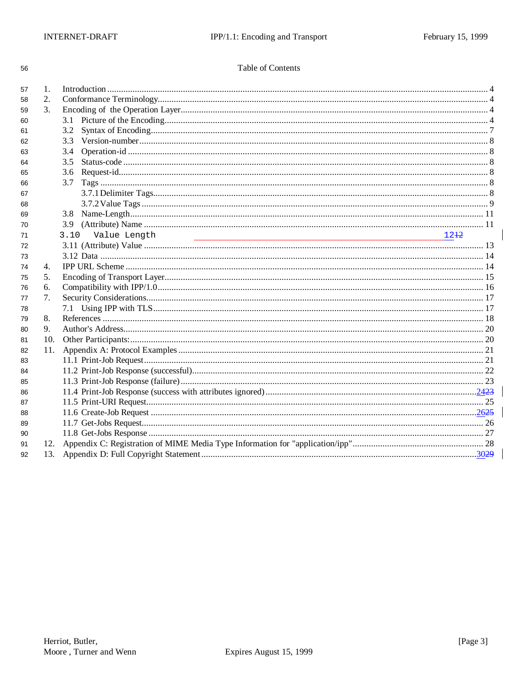56

### Table of Contents

| 57 | 1.  |                                  |  |  |
|----|-----|----------------------------------|--|--|
| 58 | 2.  |                                  |  |  |
| 59 | 3.  |                                  |  |  |
| 60 |     |                                  |  |  |
| 61 |     |                                  |  |  |
| 62 |     |                                  |  |  |
| 63 |     |                                  |  |  |
| 64 |     | 3.5                              |  |  |
| 65 |     |                                  |  |  |
| 66 |     |                                  |  |  |
| 67 |     |                                  |  |  |
| 68 |     |                                  |  |  |
| 69 |     |                                  |  |  |
| 70 |     |                                  |  |  |
| 71 |     | Value Length<br>3.10<br>$12 + 2$ |  |  |
| 72 |     |                                  |  |  |
| 73 |     |                                  |  |  |
| 74 | 4.  |                                  |  |  |
| 75 | 5.  |                                  |  |  |
| 76 | 6.  |                                  |  |  |
| 77 | 7.  |                                  |  |  |
| 78 |     |                                  |  |  |
| 79 | 8.  |                                  |  |  |
| 80 | 9.  |                                  |  |  |
| 81 | 10. |                                  |  |  |
| 82 | 11. |                                  |  |  |
| 83 |     |                                  |  |  |
| 84 |     |                                  |  |  |
| 85 |     |                                  |  |  |
| 86 |     |                                  |  |  |
| 87 |     |                                  |  |  |
| 88 |     |                                  |  |  |
| 89 |     |                                  |  |  |
| 90 |     |                                  |  |  |
| 91 | 12. |                                  |  |  |
| 92 | 13. |                                  |  |  |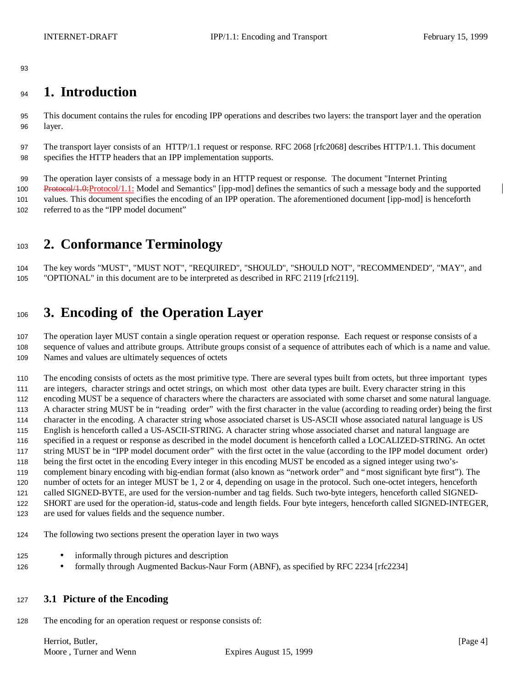# **1. Introduction**

 This document contains the rules for encoding IPP operations and describes two layers: the transport layer and the operation layer.

 The transport layer consists of an HTTP/1.1 request or response. RFC 2068 [rfc2068] describes HTTP/1.1. This document specifies the HTTP headers that an IPP implementation supports.

 The operation layer consists of a message body in an HTTP request or response. The document "Internet Printing 100 Protocol/1.0:Protocol/1.1: Model and Semantics" [ipp-mod] defines the semantics of such a message body and the supported values. This document specifies the encoding of an IPP operation. The aforementioned document [ipp-mod] is henceforth referred to as the "IPP model document"

# **2. Conformance Terminology**

 The key words "MUST", "MUST NOT", "REQUIRED", "SHOULD", "SHOULD NOT", "RECOMMENDED", "MAY", and "OPTIONAL" in this document are to be interpreted as described in RFC 2119 [rfc2119].

# **3. Encoding of the Operation Layer**

 The operation layer MUST contain a single operation request or operation response. Each request or response consists of a sequence of values and attribute groups. Attribute groups consist of a sequence of attributes each of which is a name and value. Names and values are ultimately sequences of octets

 The encoding consists of octets as the most primitive type. There are several types built from octets, but three important types are integers, character strings and octet strings, on which most other data types are built. Every character string in this encoding MUST be a sequence of characters where the characters are associated with some charset and some natural language. A character string MUST be in "reading order" with the first character in the value (according to reading order) being the first character in the encoding. A character string whose associated charset is US-ASCII whose associated natural language is US English is henceforth called a US-ASCII-STRING. A character string whose associated charset and natural language are specified in a request or response as described in the model document is henceforth called a LOCALIZED-STRING. An octet string MUST be in "IPP model document order" with the first octet in the value (according to the IPP model document order) being the first octet in the encoding Every integer in this encoding MUST be encoded as a signed integer using two's- complement binary encoding with big-endian format (also known as "network order" and "most significant byte first"). The number of octets for an integer MUST be 1, 2 or 4, depending on usage in the protocol. Such one-octet integers, henceforth called SIGNED-BYTE, are used for the version-number and tag fields. Such two-byte integers, henceforth called SIGNED- SHORT are used for the operation-id, status-code and length fields. Four byte integers, henceforth called SIGNED-INTEGER, are used for values fields and the sequence number.

- The following two sections present the operation layer in two ways
- 125 informally through pictures and description
- 126 formally through Augmented Backus-Naur Form (ABNF), as specified by RFC 2234 [rfc2234]

### **3.1 Picture of the Encoding**

The encoding for an operation request or response consists of:

Herriot, Butler, [Page 4] [Page 4] Moore, Turner and Wenn Expires August 15, 1999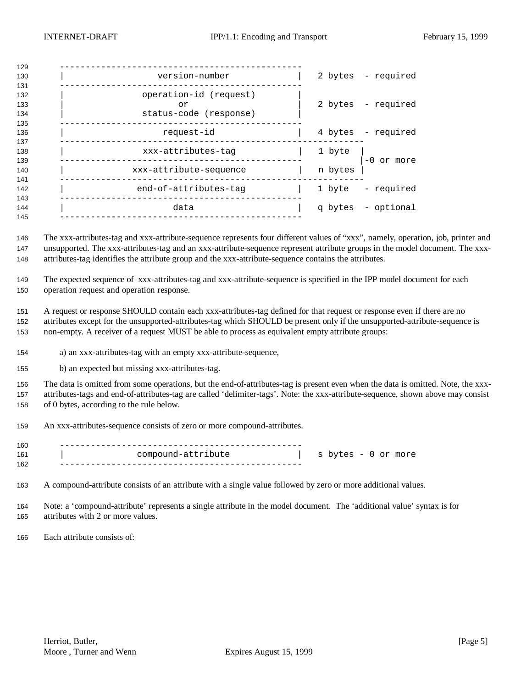| 129               |                                                        |         |                    |
|-------------------|--------------------------------------------------------|---------|--------------------|
| 130<br>131        | version-number                                         |         | 2 bytes - required |
| 132<br>133<br>134 | operation-id (request)<br>or<br>status-code (response) |         | 2 bytes - required |
| 135<br>136<br>137 | request-id                                             |         | 4 bytes - required |
| 138<br>139        | xxx-attributes-tag                                     | 1 byte  | -0 or more         |
| 140<br>141        | xxx-attribute-sequence                                 | n bytes |                    |
| 142<br>143        | end-of-attributes-tag                                  |         | 1 byte - required  |
| 144<br>145        | data                                                   |         | q bytes - optional |
|                   |                                                        |         |                    |

 The xxx-attributes-tag and xxx-attribute-sequence represents four different values of "xxx", namely, operation, job, printer and unsupported. The xxx-attributes-tag and an xxx-attribute-sequence represent attribute groups in the model document. The xxx-attributes-tag identifies the attribute group and the xxx-attribute-sequence contains the attributes.

 The expected sequence of xxx-attributes-tag and xxx-attribute-sequence is specified in the IPP model document for each operation request and operation response.

 A request or response SHOULD contain each xxx-attributes-tag defined for that request or response even if there are no attributes except for the unsupported-attributes-tag which SHOULD be present only if the unsupported-attribute-sequence is non-empty. A receiver of a request MUST be able to process as equivalent empty attribute groups:

a) an xxx-attributes-tag with an empty xxx-attribute-sequence,

b) an expected but missing xxx-attributes-tag.

 The data is omitted from some operations, but the end-of-attributes-tag is present even when the data is omitted. Note, the xxx- attributes-tags and end-of-attributes-tag are called 'delimiter-tags'. Note: the xxx-attribute-sequence, shown above may consist of 0 bytes, according to the rule below.

An xxx-attributes-sequence consists of zero or more compound-attributes.

| 160 |                    |                     |
|-----|--------------------|---------------------|
| 161 | compound-attribute | s bytes - 0 or more |
| 162 |                    |                     |

A compound-attribute consists of an attribute with a single value followed by zero or more additional values.

 Note: a 'compound-attribute' represents a single attribute in the model document. The 'additional value' syntax is for attributes with 2 or more values.

Each attribute consists of: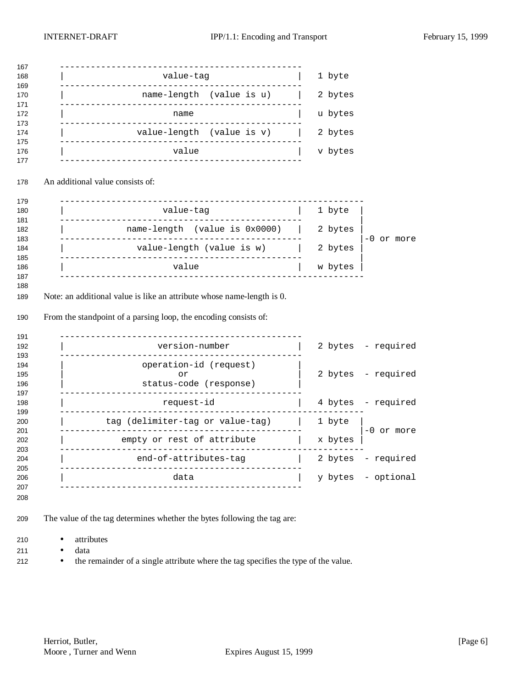| value-tag                                                                                                      | 1 byte  |                                  |
|----------------------------------------------------------------------------------------------------------------|---------|----------------------------------|
| name-length (value is u)                                                                                       | 2 bytes |                                  |
| name                                                                                                           | u bytes |                                  |
| value-length (value is v)                                                                                      | 2 bytes |                                  |
| ______________________________<br>value                                                                        | v bytes |                                  |
|                                                                                                                |         |                                  |
| An additional value consists of:                                                                               |         |                                  |
|                                                                                                                |         |                                  |
| value-tag                                                                                                      | 1 byte  |                                  |
| name-length (value is 0x0000)                                                                                  | 2 bytes |                                  |
| value-length (value is w)                                                                                      | 2 bytes | -0 or more                       |
|                                                                                                                |         |                                  |
| value<br>Note: an additional value is like an attribute whose name-length is 0.                                | w bytes |                                  |
| From the standpoint of a parsing loop, the encoding consists of:<br>______________________<br>---------------- |         |                                  |
| version-number<br>--------------------                                                                         |         | 2 bytes - required               |
| operation-id (request)                                                                                         |         |                                  |
| or<br>status-code (response)                                                                                   |         | 2 bytes - required               |
| request-id                                                                                                     | 4 bytes | - required                       |
| tag (delimiter-tag or value-tag)                                                                               | 1 byte  |                                  |
| ------------------------<br>empty or rest of attribute                                                         | x bytes |                                  |
| end-of-attributes-tag                                                                                          |         | -0 or more<br>2 bytes - required |

- The value of the tag determines whether the bytes following the tag are:
- attributes
- data
- the remainder of a single attribute where the tag specifies the type of the value.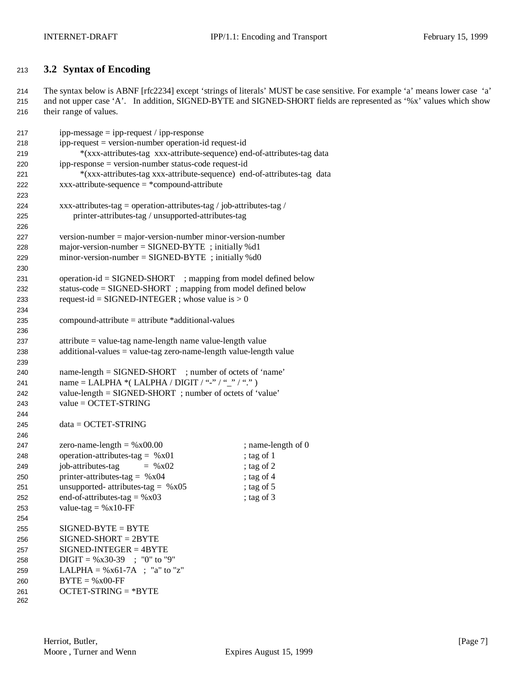## **3.2 Syntax of Encoding**

 The syntax below is ABNF [rfc2234] except 'strings of literals' MUST be case sensitive. For example 'a' means lower case 'a' and not upper case 'A'. In addition, SIGNED-BYTE and SIGNED-SHORT fields are represented as '%x' values which show their range of values.

| 217 | $ipp-message = ipp-request / ipp-response$                              |                    |  |
|-----|-------------------------------------------------------------------------|--------------------|--|
| 218 | ipp-request = version-number operation-id request-id                    |                    |  |
| 219 | *(xxx-attributes-tag xxx-attribute-sequence) end-of-attributes-tag data |                    |  |
| 220 | ipp-response = version-number status-code request-id                    |                    |  |
| 221 | *(xxx-attributes-tag xxx-attribute-sequence) end-of-attributes-tag data |                    |  |
| 222 | $xxx$ -attribute-sequence = *compound-attribute                         |                    |  |
| 223 |                                                                         |                    |  |
| 224 | xxx-attributes-tag = operation-attributes-tag / job-attributes-tag /    |                    |  |
| 225 | printer-attributes-tag / unsupported-attributes-tag                     |                    |  |
| 226 |                                                                         |                    |  |
| 227 | $version-number = majorversion-number minorversion-number$              |                    |  |
| 228 | major-version-number = $SIGNED-BYTE$ ; initially %d1                    |                    |  |
| 229 | minor-version-number = $SIGNED-BYTE$ ; initially %d0                    |                    |  |
| 230 |                                                                         |                    |  |
| 231 | operation-id = SIGNED-SHORT ; mapping from model defined below          |                    |  |
| 232 | status-code = SIGNED-SHORT; mapping from model defined below            |                    |  |
| 233 | request-id = SIGNED-INTEGER ; whose value is $> 0$                      |                    |  |
| 234 |                                                                         |                    |  |
| 235 | compound-attribute = attribute *additional-values                       |                    |  |
| 236 |                                                                         |                    |  |
| 237 | attribute = value-tag name-length name value-length value               |                    |  |
| 238 | $additional-values = value-tag zero-name-length value-length value$     |                    |  |
| 239 |                                                                         |                    |  |
| 240 | name-length = SIGNED-SHORT ; number of octets of 'name'                 |                    |  |
| 241 | name = LALPHA *( LALPHA / DIGIT / "-" / "_" / ".")                      |                    |  |
| 242 | value-length = SIGNED-SHORT; number of octets of 'value'                |                    |  |
| 243 | $value = OCTET-STRING$                                                  |                    |  |
| 244 |                                                                         |                    |  |
| 245 | $data = OCTET-STRING$                                                   |                    |  |
| 246 |                                                                         |                    |  |
| 247 | zero-name-length = $%x00.00$                                            | ; name-length of 0 |  |
| 248 | operation-attributes-tag = $%x01$                                       | ; tag of 1         |  |
| 249 | job-attributes-tag<br>$=$ % x 02                                        | ; tag of 2         |  |
| 250 | printer-attributes-tag = $%x04$                                         | ; tag of 4         |  |
| 251 | unsupported- attributes-tag = $%x05$                                    | ; tag of $5$       |  |
| 252 | end-of-attributes-tag = $%x03$                                          | ; tag of 3         |  |
| 253 | value-tag = $%x10$ -FF                                                  |                    |  |
| 254 |                                                                         |                    |  |
| 255 | $SIGNED-BYTE = BYTE$                                                    |                    |  |
| 256 | $SIGNED-SHORT = 2BYTE$                                                  |                    |  |
| 257 | $SIGNED-INTER = 4BYTE$                                                  |                    |  |
| 258 | $DIGIT = %x30-39$ ; "0" to "9"                                          |                    |  |
| 259 | LALPHA = $\%x61-7A$ ; "a" to "z"                                        |                    |  |
| 260 | $BYTE = %x00-FF$                                                        |                    |  |
| 261 | $OCTET-STRING = *BYTE$                                                  |                    |  |
| 262 |                                                                         |                    |  |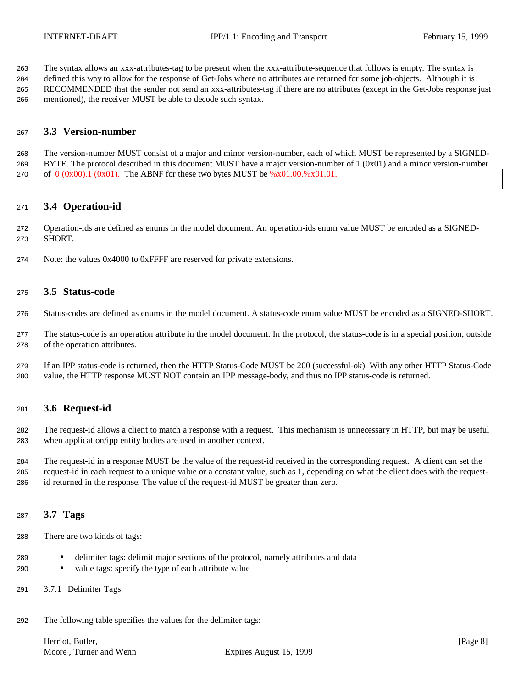The syntax allows an xxx-attributes-tag to be present when the xxx-attribute-sequence that follows is empty. The syntax is

 defined this way to allow for the response of Get-Jobs where no attributes are returned for some job-objects. Although it is RECOMMENDED that the sender not send an xxx-attributes-tag if there are no attributes (except in the Get-Jobs response just mentioned), the receiver MUST be able to decode such syntax.

### **3.3 Version-number**

 The version-number MUST consist of a major and minor version-number, each of which MUST be represented by a SIGNED- BYTE. The protocol described in this document MUST have a major version-number of 1 (0x01) and a minor version-number 270 of  $\theta$  (0x00). The ABNF for these two bytes MUST be  $\frac{6}{8}$  x01.00.  $\frac{6}{8}$  x01.01.

### **3.4 Operation-id**

 Operation-ids are defined as enums in the model document. An operation-ids enum value MUST be encoded as a SIGNED-SHORT.

Note: the values 0x4000 to 0xFFFF are reserved for private extensions.

### **3.5 Status-code**

Status-codes are defined as enums in the model document. A status-code enum value MUST be encoded as a SIGNED-SHORT.

- The status-code is an operation attribute in the model document. In the protocol, the status-code is in a special position, outside of the operation attributes.
- If an IPP status-code is returned, then the HTTP Status-Code MUST be 200 (successful-ok). With any other HTTP Status-Code value, the HTTP response MUST NOT contain an IPP message-body, and thus no IPP status-code is returned.

### **3.6 Request-id**

 The request-id allows a client to match a response with a request. This mechanism is unnecessary in HTTP, but may be useful when application/ipp entity bodies are used in another context.

 The request-id in a response MUST be the value of the request-id received in the corresponding request. A client can set the request-id in each request to a unique value or a constant value, such as 1, depending on what the client does with the request-id returned in the response. The value of the request-id MUST be greater than zero.

### **3.7 Tags**

- There are two kinds of tags:
- delimiter tags: delimit major sections of the protocol, namely attributes and data
- value tags: specify the type of each attribute value
- 3.7.1 Delimiter Tags
- The following table specifies the values for the delimiter tags:

Herriot, Butler, [Page 8] [Page 8] Moore, Turner and Wenn Expires August 15, 1999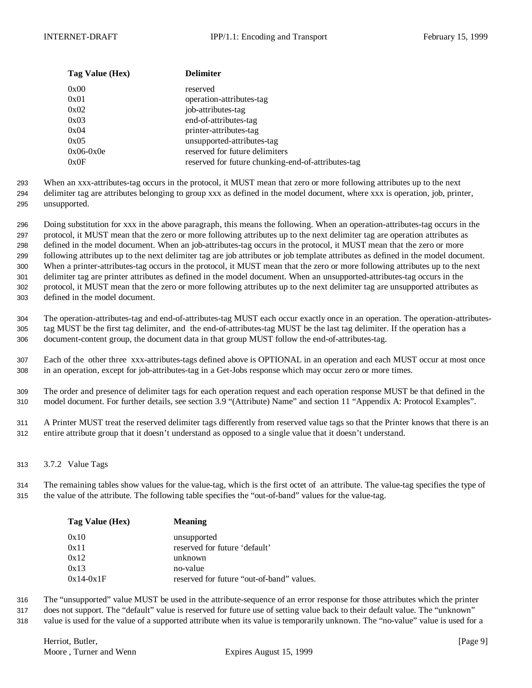| Tag Value (Hex) | <b>Delimiter</b>                                   |
|-----------------|----------------------------------------------------|
| 0x00            | reserved                                           |
| 0x01            | operation-attributes-tag                           |
| 0x02            | job-attributes-tag                                 |
| 0x03            | end-of-attributes-tag                              |
| 0x04            | printer-attributes-tag                             |
| 0x05            | unsupported-attributes-tag                         |
| $0x06-0x0e$     | reserved for future delimiters                     |
| 0x0F            | reserved for future chunking-end-of-attributes-tag |

293 When an xxx-attributes-tag occurs in the protocol, it MUST mean that zero or more following attributes up to the next 294 delimiter tag are attributes belonging to group xxx as defined in the model document, where xxx is operation, job, printer,

295 unsupported.

 Doing substitution for xxx in the above paragraph, this means the following. When an operation-attributes-tag occurs in the protocol, it MUST mean that the zero or more following attributes up to the next delimiter tag are operation attributes as defined in the model document. When an job-attributes-tag occurs in the protocol, it MUST mean that the zero or more following attributes up to the next delimiter tag are job attributes or job template attributes as defined in the model document. When a printer-attributes-tag occurs in the protocol, it MUST mean that the zero or more following attributes up to the next delimiter tag are printer attributes as defined in the model document. When an unsupported-attributes-tag occurs in the protocol, it MUST mean that the zero or more following attributes up to the next delimiter tag are unsupported attributes as defined in the model document.

304 The operation-attributes-tag and end-of-attributes-tag MUST each occur exactly once in an operation. The operation-attributes-305 tag MUST be the first tag delimiter, and the end-of-attributes-tag MUST be the last tag delimiter. If the operation has a 306 document-content group, the document data in that group MUST follow the end-of-attributes-tag.

307 Each of the other three xxx-attributes-tags defined above is OPTIONAL in an operation and each MUST occur at most once 308 in an operation, except for job-attributes-tag in a Get-Jobs response which may occur zero or more times.

309 The order and presence of delimiter tags for each operation request and each operation response MUST be that defined in the 310 model document. For further details, see section 3.9 "(Attribute) Name" and section 11 "Appendix A: Protocol Examples".

311 A Printer MUST treat the reserved delimiter tags differently from reserved value tags so that the Printer knows that there is an 312 entire attribute group that it doesn't understand as opposed to a single value that it doesn't understand.

313 3.7.2 Value Tags

314 The remaining tables show values for the value-tag, which is the first octet of an attribute. The value-tag specifies the type of 315 the value of the attribute. The following table specifies the "out-of-band" values for the value-tag.

| Tag Value (Hex) | <b>Meaning</b>                            |
|-----------------|-------------------------------------------|
| 0x10            | unsupported                               |
| 0x11            | reserved for future 'default'             |
| 0x12            | unknown                                   |
| 0x13            | no-value                                  |
| $0x14-0x1F$     | reserved for future "out-of-band" values. |

316 The "unsupported" value MUST be used in the attribute-sequence of an error response for those attributes which the printer

317 does not support. The "default" value is reserved for future use of setting value back to their default value. The "unknown"

318 value is used for the value of a supported attribute when its value is temporarily unknown. The "no-value" value is used for a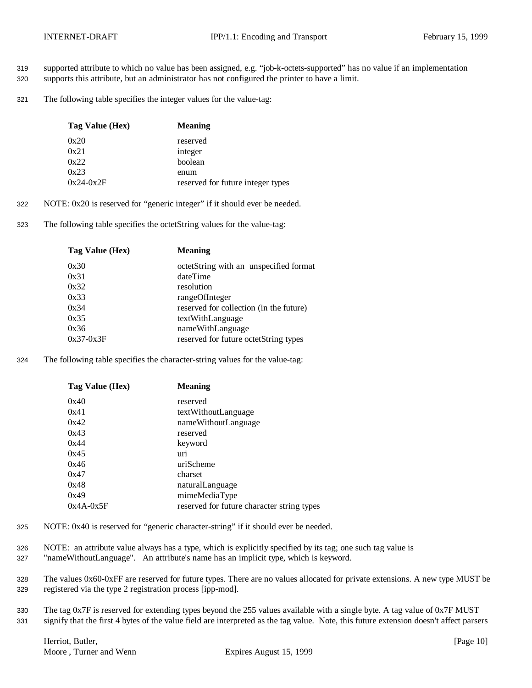- 319 supported attribute to which no value has been assigned, e.g. "job-k-octets-supported" has no value if an implementation
- 320 supports this attribute, but an administrator has not configured the printer to have a limit.
- 321 The following table specifies the integer values for the value-tag:

| Tag Value (Hex) | <b>Meaning</b>                    |
|-----------------|-----------------------------------|
| 0x20            | reserved                          |
| 0x21            | integer                           |
| 0x22            | boolean                           |
| 0x23            | enum                              |
| $0x24-0x2F$     | reserved for future integer types |

- 322 NOTE: 0x20 is reserved for "generic integer" if it should ever be needed.
- 323 The following table specifies the octetString values for the value-tag:

| Tag Value (Hex) | <b>Meaning</b>                          |
|-----------------|-----------------------------------------|
| 0x30            | octetString with an unspecified format  |
| 0x31            | dateTime                                |
| 0x32            | resolution                              |
| 0x33            | rangeOfInteger                          |
| 0x34            | reserved for collection (in the future) |
| 0x35            | textWithLanguage                        |
| 0x36            | nameWithLanguage                        |
| $0x37-0x3F$     | reserved for future octetString types   |
|                 |                                         |

324 The following table specifies the character-string values for the value-tag:

| Tag Value (Hex) | <b>Meaning</b>                             |
|-----------------|--------------------------------------------|
| 0x40            | reserved                                   |
| 0x41            | textWithoutLanguage                        |
| 0x42            | nameWithoutLanguage                        |
| 0x43            | reserved                                   |
| 0x44            | keyword                                    |
| 0x45            | uri                                        |
| 0x46            | uriScheme                                  |
| 0x47            | charset                                    |
| 0x48            | naturalLanguage                            |
| 0x49            | mimeMediaType                              |
| $0x4A-0x5F$     | reserved for future character string types |

- 325 NOTE: 0x40 is reserved for "generic character-string" if it should ever be needed.
- 326 NOTE: an attribute value always has a type, which is explicitly specified by its tag; one such tag value is
- 327 "nameWithoutLanguage". An attribute's name has an implicit type, which is keyword.
- 328 The values 0x60-0xFF are reserved for future types. There are no values allocated for private extensions. A new type MUST be 329 registered via the type 2 registration process [ipp-mod].
- 330 The tag 0x7F is reserved for extending types beyond the 255 values available with a single byte. A tag value of 0x7F MUST 331 signify that the first 4 bytes of the value field are interpreted as the tag value. Note, this future extension doesn't affect parsers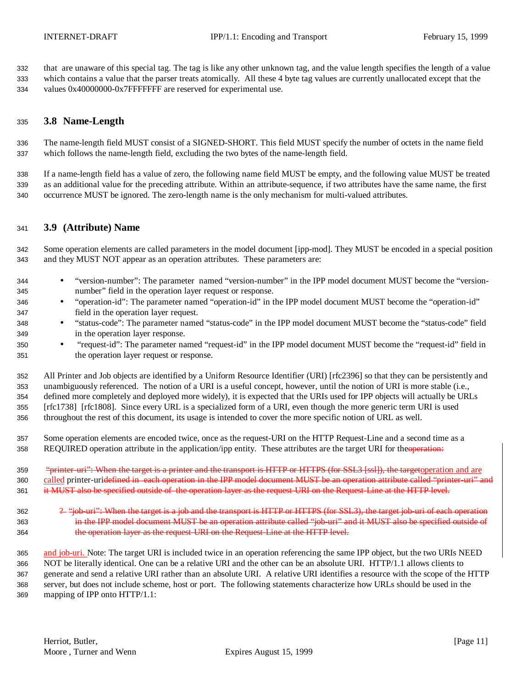that are unaware of this special tag. The tag is like any other unknown tag, and the value length specifies the length of a value which contains a value that the parser treats atomically. All these 4 byte tag values are currently unallocated except that the 334 values 0x40000000-0x7FFFFFFF are reserved for experimental use.

### **3.8 Name-Length**

 The name-length field MUST consist of a SIGNED-SHORT. This field MUST specify the number of octets in the name field which follows the name-length field, excluding the two bytes of the name-length field.

 If a name-length field has a value of zero, the following name field MUST be empty, and the following value MUST be treated as an additional value for the preceding attribute. Within an attribute-sequence, if two attributes have the same name, the first occurrence MUST be ignored. The zero-length name is the only mechanism for multi-valued attributes.

#### **3.9 (Attribute) Name**

 Some operation elements are called parameters in the model document [ipp-mod]. They MUST be encoded in a special position and they MUST NOT appear as an operation attributes. These parameters are:

- "version-number": The parameter named "version-number" in the IPP model document MUST become the "version-number" field in the operation layer request or response.
- "operation-id": The parameter named "operation-id" in the IPP model document MUST become the "operation-id" field in the operation layer request.
- "status-code": The parameter named "status-code" in the IPP model document MUST become the "status-code" field in the operation layer response.
- "request-id": The parameter named "request-id" in the IPP model document MUST become the "request-id" field in the operation layer request or response.

 All Printer and Job objects are identified by a Uniform Resource Identifier (URI) [rfc2396] so that they can be persistently and unambiguously referenced. The notion of a URI is a useful concept, however, until the notion of URI is more stable (i.e., defined more completely and deployed more widely), it is expected that the URIs used for IPP objects will actually be URLs [rfc1738] [rfc1808]. Since every URL is a specialized form of a URI, even though the more generic term URI is used throughout the rest of this document, its usage is intended to cover the more specific notion of URL as well.

- Some operation elements are encoded twice, once as the request-URI on the HTTP Request-Line and a second time as a 358 REQUIRED operation attribute in the application/ipp entity. These attributes are the target URI for the operation:
- 359 "<del>"printer-uri": When the target is a printer and the transport is HTTP or HTTPS (for SSL3 [ssl]), the targetoperation and are</del> 360 called printer-uri<del>defined in each operation in the IPP model document MUST be an operation attribute called "printer-uri" and</del> 361 it MUST also be specified outside of the operation layer as the request-URI on the Request-Line at the HTTP level.
- 362 <sup>2</sup> "job-uri": When the target is a job and the transport is HTTP or HTTPS (for SSL3), the target job-uri of each operation 363 in the IPP model document MUST be an operation attribute called "job-uri" and it MUST also be specified outside of **the operation layer as the request-URI on the Request-Line at the HTTP level.**
- 365 and job-uri. Note: The target URI is included twice in an operation referencing the same IPP object, but the two URIs NEED NOT be literally identical. One can be a relative URI and the other can be an absolute URI. HTTP/1.1 allows clients to generate and send a relative URI rather than an absolute URI. A relative URI identifies a resource with the scope of the HTTP server, but does not include scheme, host or port. The following statements characterize how URLs should be used in the mapping of IPP onto HTTP/1.1: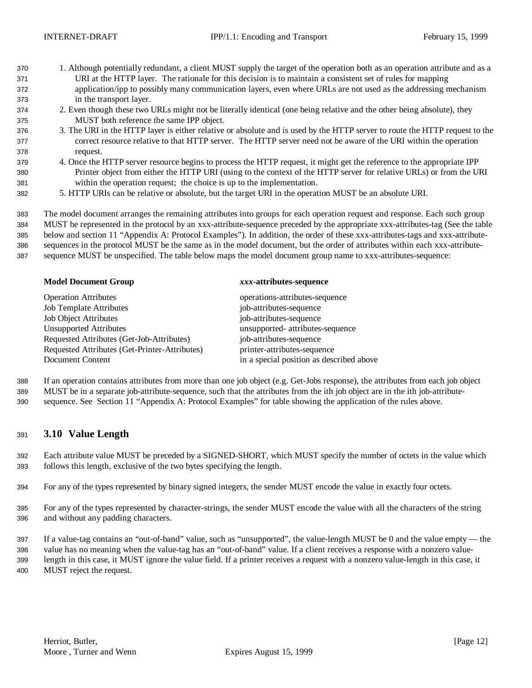- 1. Although potentially redundant, a client MUST supply the target of the operation both as an operation attribute and as a URI at the HTTP layer. The rationale for this decision is to maintain a consistent set of rules for mapping application/ipp to possibly many communication layers, even where URLs are not used as the addressing mechanism in the transport layer.
- 2. Even though these two URLs might not be literally identical (one being relative and the other being absolute), they MUST both reference the same IPP object.
- 3. The URI in the HTTP layer is either relative or absolute and is used by the HTTP server to route the HTTP request to the correct resource relative to that HTTP server. The HTTP server need not be aware of the URI within the operation request.
- 4. Once the HTTP server resource begins to process the HTTP request, it might get the reference to the appropriate IPP Printer object from either the HTTP URI (using to the context of the HTTP server for relative URLs) or from the URI within the operation request; the choice is up to the implementation.
- 5. HTTP URIs can be relative or absolute, but the target URI in the operation MUST be an absolute URI.

 The model document arranges the remaining attributes into groups for each operation request and response. Each such group MUST be represented in the protocol by an xxx-attribute-sequence preceded by the appropriate xxx-attributes-tag (See the table below and section 11 "Appendix A: Protocol Examples"). In addition, the order of these xxx-attributes-tags and xxx-attribute- sequences in the protocol MUST be the same as in the model document, but the order of attributes within each xxx-attribute-sequence MUST be unspecified. The table below maps the model document group name to xxx-attributes-sequence:

| <b>Model Document Group</b>                   | xxx-attributes-sequence                  |
|-----------------------------------------------|------------------------------------------|
| <b>Operation Attributes</b>                   | operations-attributes-sequence           |
| <b>Job Template Attributes</b>                | job-attributes-sequence                  |
| <b>Job Object Attributes</b>                  | job-attributes-sequence                  |
| Unsupported Attributes                        | unsupported- attributes-sequence         |
| Requested Attributes (Get-Job-Attributes)     | job-attributes-sequence                  |
| Requested Attributes (Get-Printer-Attributes) | printer-attributes-sequence              |
| Document Content                              | in a special position as described above |

 If an operation contains attributes from more than one job object (e.g. Get-Jobs response), the attributes from each job object MUST be in a separate job-attribute-sequence, such that the attributes from the ith job object are in the ith job-attribute-sequence. See Section 11 "Appendix A: Protocol Examples" for table showing the application of the rules above.

### **3.10 Value Length**

 Each attribute value MUST be preceded by a SIGNED-SHORT, which MUST specify the number of octets in the value which follows this length, exclusive of the two bytes specifying the length.

- For any of the types represented by binary signed integers, the sender MUST encode the value in exactly four octets.
- For any of the types represented by character-strings, the sender MUST encode the value with all the characters of the string and without any padding characters.
- If a value-tag contains an "out-of-band" value, such as "unsupported", the value-length MUST be 0 and the value empty the value has no meaning when the value-tag has an "out-of-band" value. If a client receives a response with a nonzero value- length in this case, it MUST ignore the value field. If a printer receives a request with a nonzero value-length in this case, it MUST reject the request.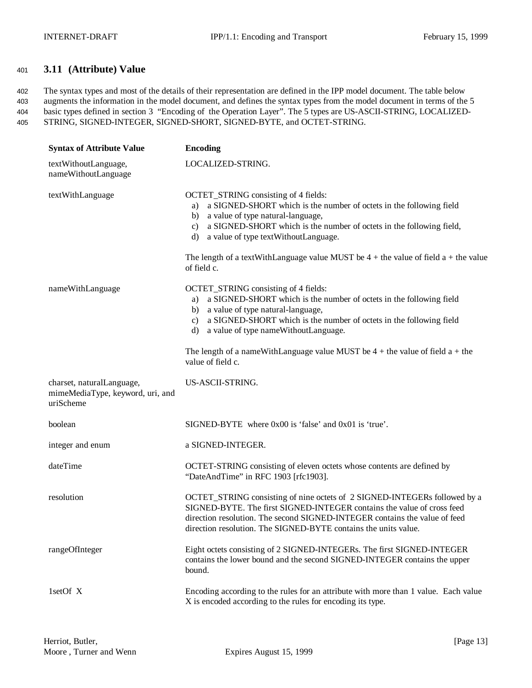## <sup>401</sup> **3.11 (Attribute) Value**

 The syntax types and most of the details of their representation are defined in the IPP model document. The table below augments the information in the model document, and defines the syntax types from the model document in terms of the 5 basic types defined in section 3 "Encoding of the Operation Layer". The 5 types are US-ASCII-STRING, LOCALIZED-STRING, SIGNED-INTEGER, SIGNED-SHORT, SIGNED-BYTE, and OCTET-STRING.

| <b>Syntax of Attribute Value</b>                                           | <b>Encoding</b>                                                                                                                                                                                                                                                                                      |
|----------------------------------------------------------------------------|------------------------------------------------------------------------------------------------------------------------------------------------------------------------------------------------------------------------------------------------------------------------------------------------------|
| textWithoutLanguage,<br>nameWithoutLanguage                                | LOCALIZED-STRING.                                                                                                                                                                                                                                                                                    |
| textWithLanguage                                                           | OCTET_STRING consisting of 4 fields:<br>a SIGNED-SHORT which is the number of octets in the following field<br>a)<br>a value of type natural-language,<br>b)<br>a SIGNED-SHORT which is the number of octets in the following field,<br>$\mathbf{c}$ )<br>a value of type textWithoutLanguage.<br>d) |
|                                                                            | The length of a text With Language value MUST be $4 +$ the value of field a + the value<br>of field c.                                                                                                                                                                                               |
| nameWithLanguage                                                           | OCTET_STRING consisting of 4 fields:<br>a SIGNED-SHORT which is the number of octets in the following field<br>a)<br>a value of type natural-language,<br>b)<br>a SIGNED-SHORT which is the number of octets in the following field<br>$\mathbf{c}$ )<br>a value of type nameWithoutLanguage.<br>d)  |
|                                                                            | The length of a nameWithLanguage value MUST be $4 +$ the value of field $a +$ the<br>value of field c.                                                                                                                                                                                               |
| charset, naturalLanguage,<br>mimeMediaType, keyword, uri, and<br>uriScheme | US-ASCII-STRING.                                                                                                                                                                                                                                                                                     |
| boolean                                                                    | SIGNED-BYTE where $0x00$ is 'false' and $0x01$ is 'true'.                                                                                                                                                                                                                                            |
| integer and enum                                                           | a SIGNED-INTEGER.                                                                                                                                                                                                                                                                                    |
| dateTime                                                                   | OCTET-STRING consisting of eleven octets whose contents are defined by<br>"DateAndTime" in RFC 1903 [rfc1903].                                                                                                                                                                                       |
| resolution                                                                 | OCTET_STRING consisting of nine octets of 2 SIGNED-INTEGERs followed by a<br>SIGNED-BYTE. The first SIGNED-INTEGER contains the value of cross feed<br>direction resolution. The second SIGNED-INTEGER contains the value of feed<br>direction resolution. The SIGNED-BYTE contains the units value. |
| rangeOfInteger                                                             | Eight octets consisting of 2 SIGNED-INTEGERs. The first SIGNED-INTEGER<br>contains the lower bound and the second SIGNED-INTEGER contains the upper<br>bound.                                                                                                                                        |
| 1setOf X                                                                   | Encoding according to the rules for an attribute with more than 1 value. Each value<br>X is encoded according to the rules for encoding its type.                                                                                                                                                    |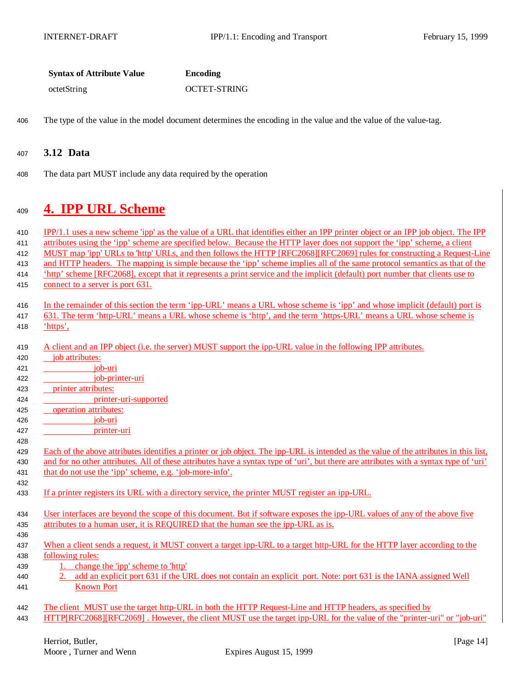| <b>Syntax of Attribute Value</b> | Encoding            |
|----------------------------------|---------------------|
| octetString                      | <b>OCTET-STRING</b> |

406 The type of the value in the model document determines the encoding in the value and the value of the value-tag.

### <sup>407</sup> **3.12 Data**

408 The data part MUST include any data required by the operation

## <sup>409</sup> **4. IPP URL Scheme**

| 410 | IPP/1.1 uses a new scheme 'ipp' as the value of a URL that identifies either an IPP printer object or an IPP job object. The IPP       |
|-----|----------------------------------------------------------------------------------------------------------------------------------------|
| 411 | attributes using the 'ipp' scheme are specified below. Because the HTTP layer does not support the 'ipp' scheme, a client              |
| 412 | MUST map 'ipp' URLs to 'http' URLs, and then follows the HTTP [RFC2068][RFC2069] rules for constructing a Request-Line                 |
| 413 | and HTTP headers. The mapping is simple because the 'ipp' scheme implies all of the same protocol semantics as that of the             |
| 414 | 'http' scheme [RFC2068], except that it represents a print service and the implicit (default) port number that clients use to          |
| 415 | connect to a server is port 631.                                                                                                       |
| 416 | In the remainder of this section the term 'ipp-URL' means a URL whose scheme is 'ipp' and whose implicit (default) port is             |
| 417 | 631. The term 'http-URL' means a URL whose scheme is 'http', and the term 'https-URL' means a URL whose scheme is                      |
| 418 | 'https',                                                                                                                               |
| 419 | A client and an IPP object (i.e. the server) MUST support the ipp-URL value in the following IPP attributes.                           |
| 420 | job attributes:                                                                                                                        |
| 421 | job-uri                                                                                                                                |
| 422 | job-printer-uri                                                                                                                        |
| 423 | printer attributes:                                                                                                                    |
| 424 | printer-uri-supported                                                                                                                  |
| 425 | operation attributes:                                                                                                                  |
| 426 | job-uri                                                                                                                                |
| 427 | printer-uri                                                                                                                            |
| 428 |                                                                                                                                        |
| 429 | Each of the above attributes identifies a printer or job object. The ipp-URL is intended as the value of the attributes in this list,  |
| 430 | and for no other attributes. All of these attributes have a syntax type of 'uri', but there are attributes with a syntax type of 'uri' |
| 431 | that do not use the 'ipp' scheme, e.g. 'job-more-info'.                                                                                |
| 432 |                                                                                                                                        |
| 433 | If a printer registers its URL with a directory service, the printer MUST register an ipp-URL.                                         |
| 434 | User interfaces are beyond the scope of this document. But if software exposes the ipp-URL values of any of the above five             |
| 435 | attributes to a human user, it is REQUIRED that the human see the ipp-URL as is.                                                       |
| 436 |                                                                                                                                        |
| 437 | When a client sends a request, it MUST convert a target ipp-URL to a target http-URL for the HTTP layer according to the               |
| 438 | following rules:                                                                                                                       |
| 439 | 1. change the 'ipp' scheme to 'http'                                                                                                   |
| 440 | add an explicit port 631 if the URL does not contain an explicit port. Note: port 631 is the IANA assigned Well                        |
| 441 | <b>Known Port</b>                                                                                                                      |
| 442 | The client MUST use the target http-URL in both the HTTP Request-Line and HTTP headers, as specified by                                |
| 443 | HTTP[RFC2068][RFC2069]. However, the client MUST use the target ipp-URL for the value of the "printer-uri" or "job-uri"                |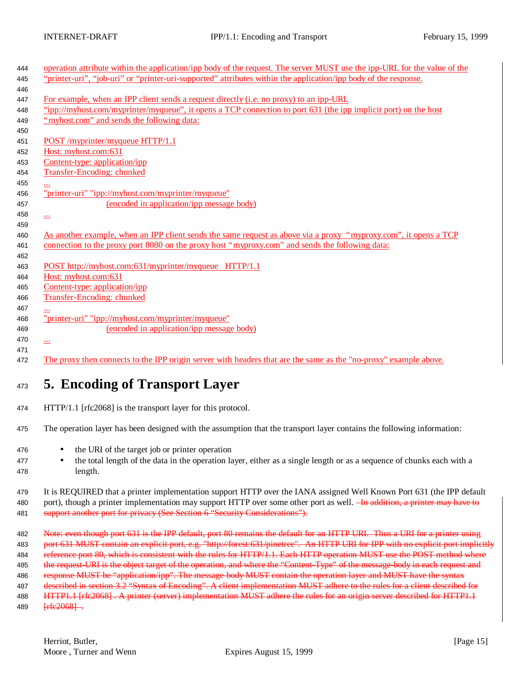| 444 | operation attribute within the application/ipp body of the request. The server MUST use the ipp-URL for the value of the |
|-----|--------------------------------------------------------------------------------------------------------------------------|
| 445 | "printer-uri", "job-uri" or "printer-uri-supported" attributes within the application/ipp body of the response.          |
| 446 |                                                                                                                          |
| 447 | For example, when an IPP client sends a request directly (i.e. no proxy) to an ipp-URL                                   |
| 448 | "ipp://myhost.com/myprinter/myqueue", it opens a TCP connection to port 631 (the ipp implicit port) on the host          |
| 449 | "myhost.com" and sends the following data:                                                                               |
| 450 |                                                                                                                          |
| 451 | POST/myprinter/myqueue HTTP/1.1                                                                                          |
| 452 | Host: myhost.com:631                                                                                                     |
| 453 | Content-type: application/ipp                                                                                            |
| 454 | Transfer-Encoding: chunked                                                                                               |
| 455 |                                                                                                                          |
| 456 | "printer-uri" "ipp://myhost.com/myprinter/myqueue"                                                                       |
| 457 | (encoded in application/ipp message body)                                                                                |
| 458 | ببي                                                                                                                      |
| 459 |                                                                                                                          |
| 460 | As another example, when an IPP client sends the same request as above via a proxy "myproxy.com", it opens a TCP         |
| 461 | connection to the proxy port 8080 on the proxy host "myproxy.com" and sends the following data:                          |
| 462 |                                                                                                                          |
| 463 | POST http://myhost.com:631/myprinter/myqueue HTTP/1.1                                                                    |
| 464 | Host: myhost.com:631                                                                                                     |
| 465 | Content-type: application/ipp                                                                                            |
| 466 | <b>Transfer-Encoding: chunked</b>                                                                                        |
| 467 |                                                                                                                          |
| 468 | "printer-uri" "ipp://myhost.com/myprinter/myqueue"                                                                       |
| 469 | (encoded in application/ipp message body)                                                                                |
| 470 | $\overline{\phantom{a}}$                                                                                                 |
| 471 |                                                                                                                          |
| 472 | The proxy then connects to the IPP origin server with headers that are the same as the "no-proxy" example above.         |
|     |                                                                                                                          |

# <sup>473</sup> **5. Encoding of Transport Layer**

- 474 HTTP/1.1 [rfc2068] is the transport layer for this protocol.
- 475 The operation layer has been designed with the assumption that the transport layer contains the following information:
- 476 the URI of the target job or printer operation
- <sup>477</sup> the total length of the data in the operation layer, either as a single length or as a sequence of chunks each with a 478 length.

479 It is REQUIRED that a printer implementation support HTTP over the IANA assigned Well Known Port 631 (the IPP default 480 port), though a printer implementation may support HTTP over some other port as well. <del>In addition, a printer may have to</del> 481 support another port for privacy (See Section 6 "Security Considerations").

 Note: even though port 631 is the IPP default, port 80 remains the default for an HTTP URI. Thus a URI for a printer using port 631 MUST contain an explicit port, e.g. "http://forest:631/pinetree". An HTTP URI for IPP with no explicit port implicitly reference port 80, which is consistent with the rules for HTTP/1.1. Each HTTP operation MUST use the POST method where 485 the request-URI is the object target of the operation, and where the "Content-Type" of the message-body in each request and response MUST be "application/ipp". The message-body MUST contain the operation layer and MUST have the syntax described in section 3.2 "Syntax of Encoding". A client implementation MUST adhere to the rules for a client described for 488 HTTP1.1 [rfc2068]. A printer (server) implementation MUST adhere the rules for an origin server described for HTTP1.1 489 <del>[rfc2068]</del>.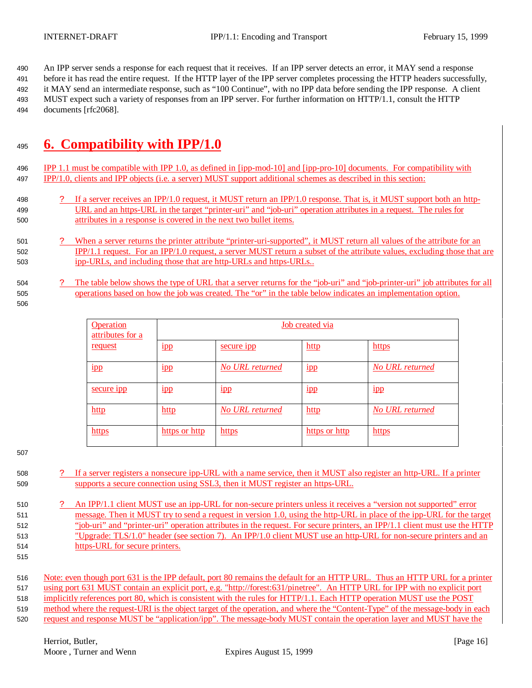An IPP server sends a response for each request that it receives. If an IPP server detects an error, it MAY send a response before it has read the entire request. If the HTTP layer of the IPP server completes processing the HTTP headers successfully, it MAY send an intermediate response, such as "100 Continue", with no IPP data before sending the IPP response. A client MUST expect such a variety of responses from an IPP server. For further information on HTTP/1.1, consult the HTTP documents [rfc2068].

# **6. Compatibility with IPP/1.0**

- IPP 1.1 must be compatible with IPP 1.0, as defined in [ipp-mod-10] and [ipp-pro-10] documents. For compatibility with IPP/1.0, clients and IPP objects (i.e. a server) MUST support additional schemes as described in this section:
- ? If a server receives an IPP/1.0 request, it MUST return an IPP/1.0 response. That is, it MUST support both an http- URL and an https-URL in the target "printer-uri" and "job-uri" operation attributes in a request. The rules for attributes in a response is covered in the next two bullet items.
- ? When a server returns the printer attribute "printer-uri-supported", it MUST return all values of the attribute for an IPP/1.1 request. For an IPP/1.0 request, a server MUST return a subset of the attribute values, excluding those that are ipp-URLs, and including those that are http-URLs and https-URLs..
- ? The table below shows the type of URL that a server returns for the "job-uri" and "job-printer-uri" job attributes for all operations based on how the job was created. The "or" in the table below indicates an implementation option.
- 

| <b>Operation</b><br>attributes for a | Job created via |                        |                 |                        |
|--------------------------------------|-----------------|------------------------|-----------------|------------------------|
| request                              | 1 <sub>1</sub>  | secure <sub>1pp</sub>  | http            | https                  |
| $_{\rm 1pp}$                         | 1 <sub>1</sub>  | No URL returned        | $_{1\text{pp}}$ | No URL returned        |
| secure 1pp                           | 1 <sub>1</sub>  | 1 <sub>1</sub>         | 1 <sub>1</sub>  | $_{1\text{pp}}$        |
| http                                 | $http$          | <b>No URL returned</b> | http            | <b>No URL returned</b> |
| https                                | https or http   | https                  | https or http   | https                  |

- ? If a server registers a nonsecure ipp-URL with a name service, then it MUST also register an http-URL. If a printer supports a secure connection using SSL3, then it MUST register an https-URL.
- ? An IPP/1.1 client MUST use an ipp-URL for non-secure printers unless it receives a "version not supported" error message. Then it MUST try to send a request in version 1.0, using the http-URL in place of the ipp-URL for the target "job-uri" and "printer-uri" operation attributes in the request. For secure printers, an IPP/1.1 client must use the HTTP "Upgrade: TLS/1.0" header (see section 7). An IPP/1.0 client MUST use an http-URL for non-secure printers and an https-URL for secure printers.
- 

request and response MUST be "application/ipp". The message-body MUST contain the operation layer and MUST have the

 Note: even though port 631 is the IPP default, port 80 remains the default for an HTTP URL. Thus an HTTP URL for a printer using port 631 MUST contain an explicit port, e.g. "http://forest:631/pinetree". An HTTP URL for IPP with no explicit port implicitly references port 80, which is consistent with the rules for HTTP/1.1. Each HTTP operation MUST use the POST method where the request-URI is the object target of the operation, and where the "Content-Type" of the message-body in each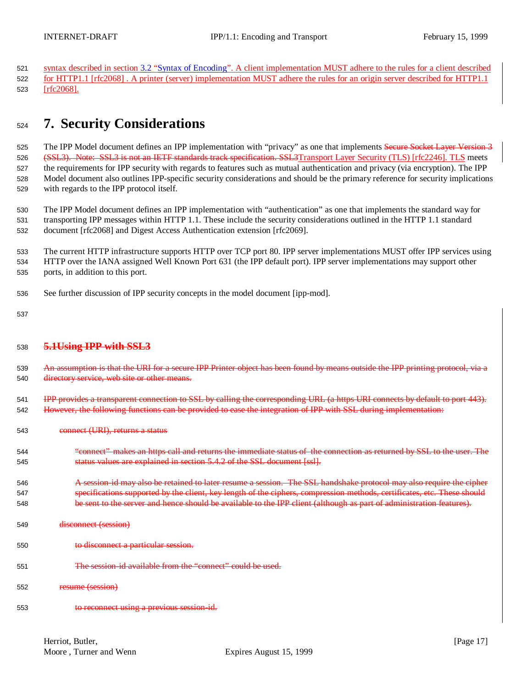syntax described in section 3.2 "Syntax of Encoding". A client implementation MUST adhere to the rules for a client described for HTTP1.1 [rfc2068] . A printer (server) implementation MUST adhere the rules for an origin server described for HTTP1.1 [rfc2068].

# **7. Security Considerations**

525 The IPP Model document defines an IPP implementation with "privacy" as one that implements Secure Socket Layer Version 3 526 (SSL3). Note: SSL3 is not an IETF standards track specification. SSL3Transport Layer Security (TLS) [rfc2246]. TLS meets the requirements for IPP security with regards to features such as mutual authentication and privacy (via encryption). The IPP Model document also outlines IPP-specific security considerations and should be the primary reference for security implications with regards to the IPP protocol itself.

 The IPP Model document defines an IPP implementation with "authentication" as one that implements the standard way for transporting IPP messages within HTTP 1.1. These include the security considerations outlined in the HTTP 1.1 standard document [rfc2068] and Digest Access Authentication extension [rfc2069].

 The current HTTP infrastructure supports HTTP over TCP port 80. IPP server implementations MUST offer IPP services using HTTP over the IANA assigned Well Known Port 631 (the IPP default port). IPP server implementations may support other ports, in addition to this port.

- See further discussion of IPP security concepts in the model document [ipp-mod].
- 

### **5.1Using IPP with SSL3**

- 539 An assumption is that the URI for a secure IPP Printer object has been found by means outside the IPP printing protocol, via a directory service, web site or other means. 541 IPP provides a transparent connection to SSL by calling the corresponding URL (a https URI connects by default to port 443). 542 However, the following functions can be provided to ease the integration of IPP with SSL during implementation:
- connect (URI), returns a status
- "connect" makes an https call and returns the immediate status of the connection as returned by SSL to the user. The status values are explained in section 5.4.2 of the SSL document [ssl].
- **A session-id may also be retained to later resume a session. The SSL handshake protocol may also require the cipher**  specifications supported by the client, key length of the ciphers, compression methods, certificates, etc. These should be sent to the server and hence should be available to the IPP client (although as part of administration features).
- disconnect (session)
- to disconnect a particular session.
- The session-id available from the "connect" could be used.
- resume (session)
- to reconnect using a previous session-id.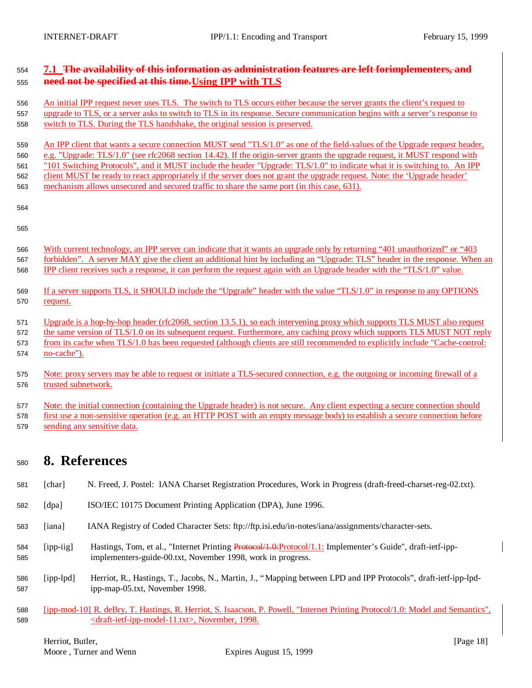## **7.1 The availability of this information as administration features are left for implementers, and need not be specified at this time.Using IPP with TLS**

 An initial IPP request never uses TLS. The switch to TLS occurs either because the server grants the client's request to upgrade to TLS, or a server asks to switch to TLS in its response. Secure communication begins with a server's response to switch to TLS. During the TLS handshake, the original session is preserved.

 An IPP client that wants a secure connection MUST send "TLS/1.0" as one of the field-values of the Upgrade request header, e.g. "Upgrade: TLS/1.0" (see rfc2068 section 14.42). If the origin-server grants the upgrade request, it MUST respond with "101 Switching Protocols", and it MUST include the header "Upgrade: TLS/1.0" to indicate what it is switching to. An IPP client MUST be ready to react appropriately if the server does not grant the upgrade request. Note: the 'Upgrade header' 563 mechanism allows unsecured and secured traffic to share the same port (in this case, 631).

- With current technology, an IPP server can indicate that it wants an upgrade only by returning "401 unauthorized" or "403 forbidden". A server MAY give the client an additional hint by including an "Upgrade: TLS" header in the response. When an IPP client receives such a response, it can perform the request again with an Upgrade header with the "TLS/1.0" value.
- If a server supports TLS, it SHOULD include the "Upgrade" header with the value "TLS/1.0" in response to any OPTIONS request.

 Upgrade is a hop-by-hop header (rfc2068, section 13.5.1), so each intervening proxy which supports TLS MUST also request the same version of TLS/1.0 on its subsequent request. Furthermore, any caching proxy which supports TLS MUST NOT reply from its cache when TLS/1.0 has been requested (although clients are still recommended to explicitly include "Cache-control: no-cache").

 Note: proxy servers may be able to request or initiate a TLS-secured connection, e.g. the outgoing or incoming firewall of a trusted subnetwork.

 Note: the initial connection (containing the Upgrade header) is not secure. Any client expecting a secure connection should first use a non-sensitive operation (e.g. an HTTP POST with an empty message body) to establish a secure connection before sending any sensitive data.

## **8. References**

- [char] N. Freed, J. Postel: IANA Charset Registration Procedures, Work in Progress (draft-freed-charset-reg-02.txt).
- [dpa] ISO/IEC 10175 Document Printing Application (DPA), June 1996.
- [iana] IANA Registry of Coded Character Sets: ftp://ftp.isi.edu/in-notes/iana/assignments/character-sets.
- 584 [ipp-iig] Hastings, Tom, et al., "Internet Printing Protocol/1.0: Protocol/1.1: Implementer's Guide", draft-ietf-ipp-implementers-guide-00.txt, November 1998, work in progress.
- [ipp-lpd] Herriot, R., Hastings, T., Jacobs, N., Martin, J., "Mapping between LPD and IPP Protocols", draft-ietf-ipp-lpd-ipp-map-05.txt, November 1998.
- [ipp-mod-10] R. deBry, T. Hastings, R. Herriot, S. Isaacson, P. Powell, "Internet Printing Protocol/1.0: Model and Semantics", <draft-ietf-ipp-model-11.txt>, November, 1998.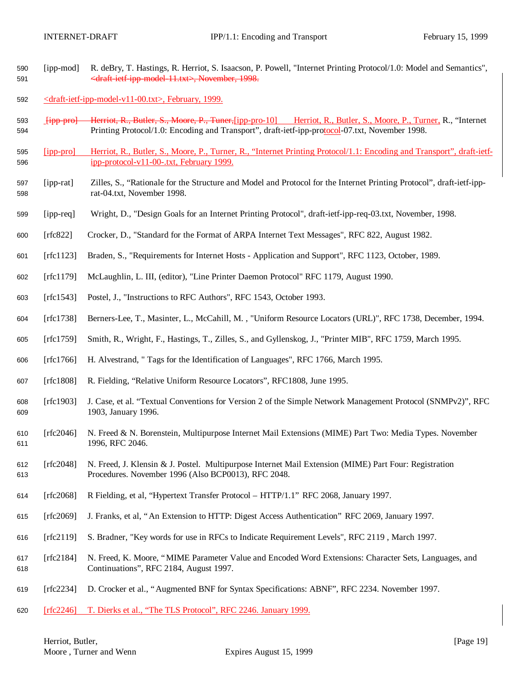- [ipp-mod] R. deBry, T. Hastings, R. Herriot, S. Isaacson, P. Powell, "Internet Printing Protocol/1.0: Model and Semantics", <draft-ietf-ipp-model-11.txt>, November, 1998.
- <draft-ietf-ipp-model-v11-00.txt>, February, 1999.
- [ipp-pro] Herriot, R., Butler, S., Moore, P., Tuner,[ipp-pro-10] Herriot, R., Butler, S., Moore, P., Turner, R., "Internet Printing Protocol/1.0: Encoding and Transport", draft-ietf-ipp-protocol-07.txt, November 1998.
- [ipp-pro] Herriot, R., Butler, S., Moore, P., Turner, R., "Internet Printing Protocol/1.1: Encoding and Transport", draft-ietf-ipp-protocol-v11-00-.txt, February 1999.
- [ipp-rat] Zilles, S., "Rationale for the Structure and Model and Protocol for the Internet Printing Protocol", draft-ietf-ipp-rat-04.txt, November 1998.
- [ipp-req] Wright, D., "Design Goals for an Internet Printing Protocol", draft-ietf-ipp-req-03.txt, November, 1998.
- [rfc822] Crocker, D., "Standard for the Format of ARPA Internet Text Messages", RFC 822, August 1982.
- [rfc1123] Braden, S., "Requirements for Internet Hosts Application and Support", RFC 1123, October, 1989.
- [rfc1179] McLaughlin, L. III, (editor), "Line Printer Daemon Protocol" RFC 1179, August 1990.
- [rfc1543] Postel, J., "Instructions to RFC Authors", RFC 1543, October 1993.
- [rfc1738] Berners-Lee, T., Masinter, L., McCahill, M. , "Uniform Resource Locators (URL)", RFC 1738, December, 1994.
- [rfc1759] Smith, R., Wright, F., Hastings, T., Zilles, S., and Gyllenskog, J., "Printer MIB", RFC 1759, March 1995.
- [rfc1766] H. Alvestrand, " Tags for the Identification of Languages", RFC 1766, March 1995.
- [rfc1808] R. Fielding, "Relative Uniform Resource Locators", RFC1808, June 1995.
- [rfc1903] J. Case, et al. "Textual Conventions for Version 2 of the Simple Network Management Protocol (SNMPv2)", RFC 1903, January 1996.
- [rfc2046] N. Freed & N. Borenstein, Multipurpose Internet Mail Extensions (MIME) Part Two: Media Types. November 611 1996, RFC 2046.
- [rfc2048] N. Freed, J. Klensin & J. Postel. Multipurpose Internet Mail Extension (MIME) Part Four: Registration Procedures. November 1996 (Also BCP0013), RFC 2048.
- [rfc2068] R Fielding, et al, "Hypertext Transfer Protocol HTTP/1.1" RFC 2068, January 1997.
- [rfc2069] J. Franks, et al, "An Extension to HTTP: Digest Access Authentication" RFC 2069, January 1997.
- [rfc2119] S. Bradner, "Key words for use in RFCs to Indicate Requirement Levels", RFC 2119 , March 1997.
- [rfc2184] N. Freed, K. Moore, "MIME Parameter Value and Encoded Word Extensions: Character Sets, Languages, and Continuations", RFC 2184, August 1997.
- [rfc2234] D. Crocker et al., "Augmented BNF for Syntax Specifications: ABNF", RFC 2234. November 1997.
- [rfc2246] T. Dierks et al., "The TLS Protocol", RFC 2246. January 1999.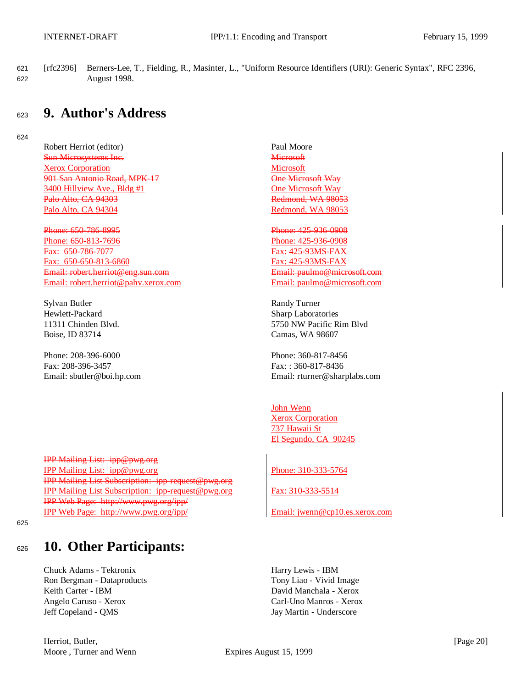621 [rfc2396] Berners-Lee, T., Fielding, R., Masinter, L., "Uniform Resource Identifiers (URI): Generic Syntax", RFC 2396, 622 August 1998.

## <sup>623</sup> **9. Author's Address**

624

Robert Herriot (editor) Paul Moore **Sun Microsystems Inc.** Microsoft Xerox Corporation Microsoft 901 San Antonio Road, MPK-17 Christian Cone Microsoft Way 3400 Hillview Ave., Bldg #1 One Microsoft Way Palo Alto, CA 94303 **Redmond, WA 98053** Palo Alto, CA 94304 Redmond, WA 98053

Phone: 650-786-8995 Phone: 425-936-0908 Phone: 650-813-7696 Phone: 425-936-0908 **Fax: 650-786-7077 Fax: 425-93MS-FAX** Fax: 650-650-813-6860 Fax: 425-93MS-FAX Email: robert.herriot@eng.sun.com Email: paulmo@microsoft.com Email: robert.herriot@pahv.xerox.com Email: paulmo@microsoft.com

Sylvan Butler Randy Turner Hewlett-Packard Sharp Laboratories Boise, ID 83714 Camas, WA 98607

Phone: 208-396-6000 Phone: 208-396-6000 Fax: 208-396-3457 Fax: : 360-817-8436

IPP Mailing List: ipp@pwg.org IPP Mailing List: ipp@pwg.org Phone: 310-333-5764 IPP Mailing List Subscription: ipp-request@pwg.org IPP Mailing List Subscription: ipp-request@pwg.org Fax: 310-333-5514 IPP Web Page: http://www.pwg.org/ipp/ IPP Web Page: http://www.pwg.org/ipp/ Email: jwenn@cp10.es.xerox.com

625

# <sup>626</sup> **10. Other Participants:**

Chuck Adams - Tektronix Harry Lewis - IBM Ron Bergman - Dataproducts Tony Liao - Vivid Image Keith Carter - IBM David Manchala - Xerox Angelo Caruso - Xerox Carl-Uno Manros - Xerox Jeff Copeland - QMS Jay Martin - Underscore

11311 Chinden Blvd. 5750 NW Pacific Rim Blvd

Email: sbutler@boi.hp.com Email: rturner@sharplabs.com

John Wenn **Xerox Corporation** 737 Hawaii St El Segundo, CA 90245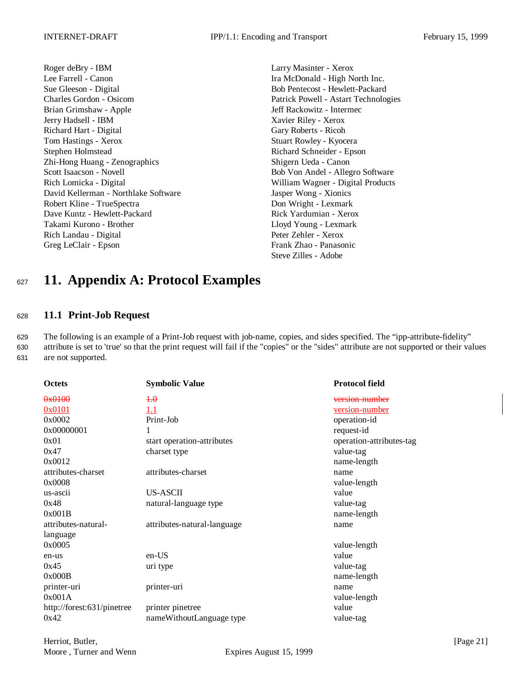- Roger deBry IBM Larry Masinter Xerox Lee Farrell - Canon Ira McDonald - High North Inc. Sue Gleeson - Digital Bob Pentecost - Hewlett-Packard Charles Gordon - Osicom Patrick Powell - Astart Technologies Brian Grimshaw - Apple **Intermected Access 1989** Jeff Rackowitz - Intermected Access 1989 Jeff Rackowitz - Intermected Access 1989 Jeff Rackowitz - Intermected Access 1989 Jeff Rackowitz - Intermected Access 1989 Jeff Rack Jerry Hadsell - IBM Xavier Riley - Xerox Richard Hart - Digital Gary Roberts - Ricoh Tom Hastings - Xerox Stuart Rowley - Kyocera Stephen Holmstead Richard Schneider - Epson Zhi-Hong Huang - Zenographics Shigern Ueda - Canon Scott Isaacson - Novell Bob Von Andel - Allegro Software Rich Lomicka - Digital William Wagner - Digital Products David Kellerman - Northlake Software Jasper Wong - Xionics Robert Kline - TrueSpectra **Don Wright - Lexmark** Dave Kuntz - Hewlett-Packard Rick Yardumian - Xerox Takami Kurono - Brother Lloyd Young - Lexmark Rich Landau - Digital Peter Zehler - Xerox Greg LeClair - Epson Frank Zhao - Panasonic
	- Steve Zilles Adobe

# <sup>627</sup> **11. Appendix A: Protocol Examples**

### <sup>628</sup> **11.1 Print-Job Request**

629 The following is an example of a Print-Job request with job-name, copies, and sides specified. The "ipp-attribute-fidelity" 630 attribute is set to 'true' so that the print request will fail if the "copies" or the "sides" attribute are not supported or their values 631 are not supported.

| <b>Octets</b>              | <b>Symbolic Value</b>       | <b>Protocol field</b>    |
|----------------------------|-----------------------------|--------------------------|
| 0x0100                     | $+ \theta$                  | version number           |
| 0x0101                     | 1.1                         | version-number           |
| 0x0002                     | Print-Job                   | operation-id             |
| 0x00000001                 | 1                           | request-id               |
| 0x01                       | start operation-attributes  | operation-attributes-tag |
| 0x47                       | charset type                | value-tag                |
| 0x0012                     |                             | name-length              |
| attributes-charset         | attributes-charset          | name                     |
| 0x0008                     |                             | value-length             |
| us-ascii                   | US-ASCII                    | value                    |
| 0x48                       | natural-language type       | value-tag                |
| 0x001B                     |                             | name-length              |
| attributes-natural-        | attributes-natural-language | name                     |
| language                   |                             |                          |
| 0x0005                     |                             | value-length             |
| en-us                      | en-US                       | value                    |
| 0x45                       | uri type                    | value-tag                |
| 0x000B                     |                             | name-length              |
| printer-uri                | printer-uri                 | name                     |
| 0x001A                     |                             | value-length             |
| http://forest:631/pinetree | printer pinetree            | value                    |
| 0x42                       | nameWithoutLanguage type    | value-tag                |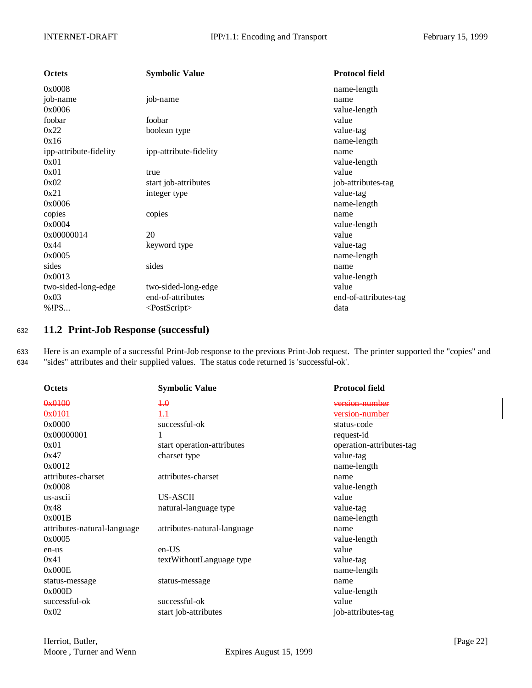| <b>Octets</b>          | <b>Symbolic Value</b>     | <b>Protocol field</b> |
|------------------------|---------------------------|-----------------------|
| 0x0008                 |                           | name-length           |
| job-name               | job-name                  | name                  |
| 0x0006                 |                           | value-length          |
| foobar                 | foobar                    | value                 |
| 0x22                   | boolean type              | value-tag             |
| 0x16                   |                           | name-length           |
| ipp-attribute-fidelity | ipp-attribute-fidelity    | name                  |
| 0x01                   |                           | value-length          |
| 0x01                   | true                      | value                 |
| 0x02                   | start job-attributes      | job-attributes-tag    |
| 0x21                   | integer type              | value-tag             |
| 0x0006                 |                           | name-length           |
| copies                 | copies                    | name                  |
| 0x0004                 |                           | value-length          |
| 0x00000014             | 20                        | value                 |
| 0x44                   | keyword type              | value-tag             |
| 0x0005                 |                           | name-length           |
| sides                  | sides                     | name                  |
| 0x0013                 |                           | value-length          |
| two-sided-long-edge    | two-sided-long-edge       | value                 |
| 0x03                   | end-of-attributes         | end-of-attributes-tag |
| %!PS                   | <postscript></postscript> | data                  |
|                        |                           |                       |

## <sup>632</sup> **11.2 Print-Job Response (successful)**

633 Here is an example of a successful Print-Job response to the previous Print-Job request. The printer supported the "copies" and 634 "sides" attributes and their supplied values. The status code returned is 'successful-ok'.

| <b>Octets</b>               | <b>Symbolic Value</b>       | <b>Protocol field</b>    |
|-----------------------------|-----------------------------|--------------------------|
| 0x0100                      | $+0$                        | version number           |
| 0x0101                      | 1.1                         | <u>version-number</u>    |
| 0x0000                      | successful-ok               | status-code              |
| 0x00000001                  | 1                           | request-id               |
| 0x01                        | start operation-attributes  | operation-attributes-tag |
| 0x47                        | charset type                | value-tag                |
| 0x0012                      |                             | name-length              |
| attributes-charset          | attributes-charset          | name                     |
| 0x0008                      |                             | value-length             |
| us-ascii                    | US-ASCII                    | value                    |
| 0x48                        | natural-language type       | value-tag                |
| 0x001B                      |                             | name-length              |
| attributes-natural-language | attributes-natural-language | name                     |
| 0x0005                      |                             | value-length             |
| en-us                       | en-US                       | value                    |
| 0x41                        | textWithoutLanguage type    | value-tag                |
| 0x000E                      |                             | name-length              |
| status-message              | status-message              | name                     |
| 0x000D                      |                             | value-length             |
| successful-ok               | successful-ok               | value                    |
| 0x02                        | start job-attributes        | job-attributes-tag       |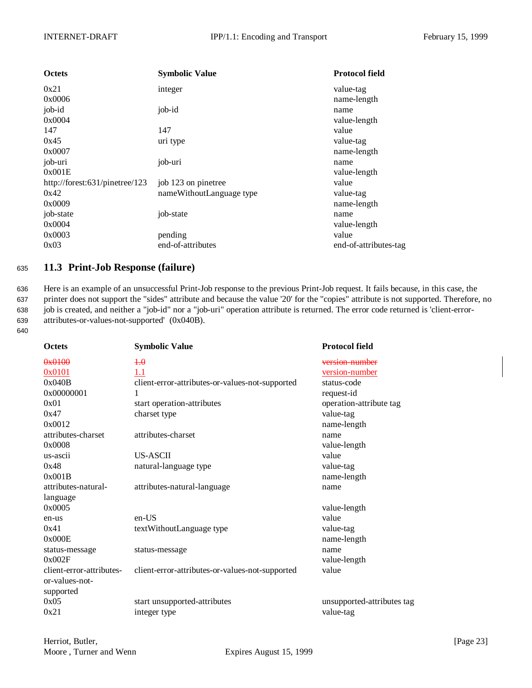| <b>Octets</b>                  | <b>Symbolic Value</b>    | <b>Protocol field</b> |
|--------------------------------|--------------------------|-----------------------|
| 0x21                           | integer                  | value-tag             |
| 0x0006                         |                          | name-length           |
| job-id                         | job-id                   | name                  |
| 0x0004                         |                          | value-length          |
| 147                            | 147                      | value                 |
| 0x45                           | uri type                 | value-tag             |
| 0x0007                         |                          | name-length           |
| job-uri                        | job-uri                  | name                  |
| 0x001E                         |                          | value-length          |
| http://forest:631/pinetree/123 | job 123 on pinetree      | value                 |
| 0x42                           | nameWithoutLanguage type | value-tag             |
| 0x0009                         |                          | name-length           |
| job-state                      | job-state                | name                  |
| 0x0004                         |                          | value-length          |
| 0x0003                         | pending                  | value                 |
| 0x03                           | end-of-attributes        | end-of-attributes-tag |

### <sup>635</sup> **11.3 Print-Job Response (failure)**

 Here is an example of an unsuccessful Print-Job response to the previous Print-Job request. It fails because, in this case, the printer does not support the "sides" attribute and because the value '20' for the "copies" attribute is not supported. Therefore, no job is created, and neither a "job-id" nor a "job-uri" operation attribute is returned. The error code returned is 'client-error-attributes-or-values-not-supported' (0x040B).

640

| <b>Octets</b>            | <b>Symbolic Value</b>                           | <b>Protocol field</b>      |
|--------------------------|-------------------------------------------------|----------------------------|
| 0x0100                   | 4.0                                             | version number             |
| 0x0101                   | 1.1                                             | version-number             |
| 0x040B                   | client-error-attributes-or-values-not-supported | status-code                |
| 0x00000001               | 1                                               | request-id                 |
| 0x01                     | start operation-attributes                      | operation-attribute tag    |
| 0x47                     | charset type                                    | value-tag                  |
| 0x0012                   |                                                 | name-length                |
| attributes-charset       | attributes-charset                              | name                       |
| 0x0008                   |                                                 | value-length               |
| us-ascii                 | US-ASCII                                        | value                      |
| 0x48                     | natural-language type                           | value-tag                  |
| 0x001B                   |                                                 | name-length                |
| attributes-natural-      | attributes-natural-language                     | name                       |
| language                 |                                                 |                            |
| 0x0005                   |                                                 | value-length               |
| en-us                    | $en-US$                                         | value                      |
| 0x41                     | textWithoutLanguage type                        | value-tag                  |
| 0x000E                   |                                                 | name-length                |
| status-message           | status-message                                  | name                       |
| 0x002F                   |                                                 | value-length               |
| client-error-attributes- | client-error-attributes-or-values-not-supported | value                      |
| or-values-not-           |                                                 |                            |
| supported                |                                                 |                            |
| 0x05                     | start unsupported-attributes                    | unsupported-attributes tag |
| 0x21                     | integer type                                    | value-tag                  |
|                          |                                                 |                            |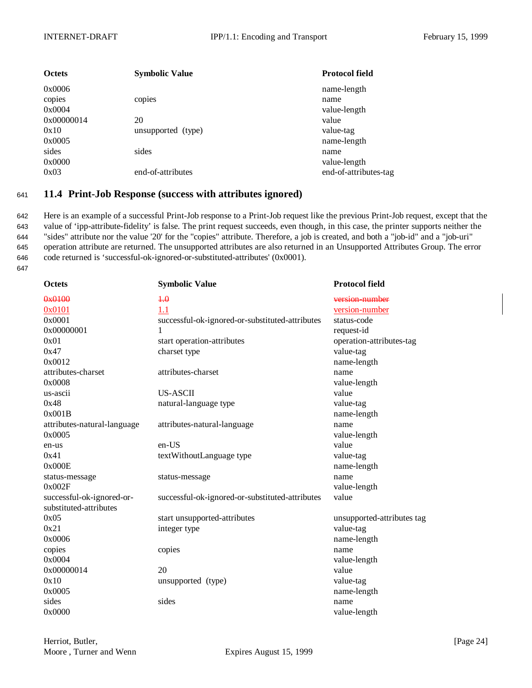| <b>Octets</b> | <b>Symbolic Value</b> | <b>Protocol field</b> |
|---------------|-----------------------|-----------------------|
| 0x0006        |                       | name-length           |
| copies        | copies                | name                  |
| 0x0004        |                       | value-length          |
| 0x00000014    | 20                    | value                 |
| 0x10          | unsupported (type)    | value-tag             |
| 0x0005        |                       | name-length           |
| sides         | sides                 | name                  |
| 0x0000        |                       | value-length          |
| 0x03          | end-of-attributes     | end-of-attributes-tag |

### <sup>641</sup> **11.4 Print-Job Response (success with attributes ignored)**

 Here is an example of a successful Print-Job response to a Print-Job request like the previous Print-Job request, except that the value of 'ipp-attribute-fidelity' is false. The print request succeeds, even though, in this case, the printer supports neither the "sides" attribute nor the value '20' for the "copies" attribute. Therefore, a job is created, and both a "job-id" and a "job-uri" operation attribute are returned. The unsupported attributes are also returned in an Unsupported Attributes Group. The error code returned is 'successful-ok-ignored-or-substituted-attributes' (0x0001).

647

| <b>Octets</b>               | <b>Symbolic Value</b>                           | <b>Protocol field</b>      |
|-----------------------------|-------------------------------------------------|----------------------------|
| 0x0100                      | $+ \theta$                                      | version number             |
| 0x0101                      | 1.1                                             | version-number             |
| 0x0001                      | successful-ok-ignored-or-substituted-attributes | status-code                |
| 0x00000001                  | 1                                               | request-id                 |
| 0x01                        | start operation-attributes                      | operation-attributes-tag   |
| 0x47                        | charset type                                    | value-tag                  |
| 0x0012                      |                                                 | name-length                |
| attributes-charset          | attributes-charset                              | name                       |
| 0x0008                      |                                                 | value-length               |
| us-ascii                    | US-ASCII                                        | value                      |
| 0x48                        | natural-language type                           | value-tag                  |
| 0x001B                      |                                                 | name-length                |
| attributes-natural-language | attributes-natural-language                     | name                       |
| 0x0005                      |                                                 | value-length               |
| en-us                       | $en-US$                                         | value                      |
| 0x41                        | textWithoutLanguage type                        | value-tag                  |
| 0x000E                      |                                                 | name-length                |
| status-message              | status-message                                  | name                       |
| 0x002F                      |                                                 | value-length               |
| successful-ok-ignored-or-   | successful-ok-ignored-or-substituted-attributes | value                      |
| substituted-attributes      |                                                 |                            |
| 0x05                        | start unsupported-attributes                    | unsupported-attributes tag |
| 0x21                        | integer type                                    | value-tag                  |
| 0x0006                      |                                                 | name-length                |
| copies                      | copies                                          | name                       |
| 0x0004                      |                                                 | value-length               |
| 0x00000014                  | 20                                              | value                      |
| 0x10                        | unsupported (type)                              | value-tag                  |
| 0x0005                      |                                                 | name-length                |
| sides                       | sides                                           | name                       |
| 0x0000                      |                                                 | value-length               |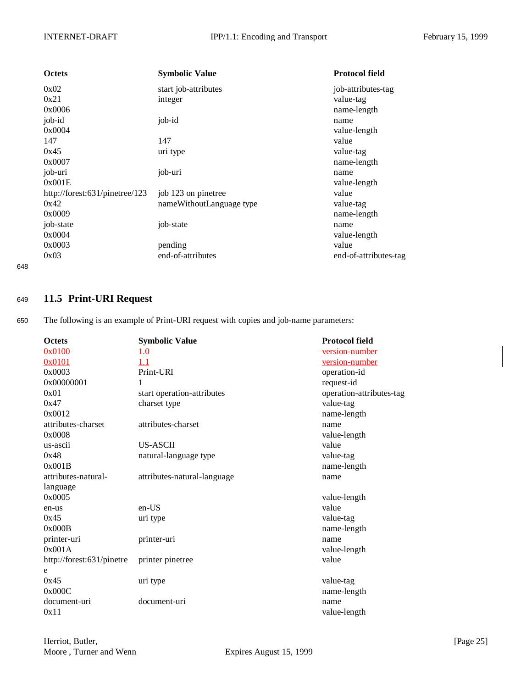| <b>Octets</b>                  | <b>Symbolic Value</b>    | <b>Protocol field</b> |
|--------------------------------|--------------------------|-----------------------|
| 0x02                           | start job-attributes     | job-attributes-tag    |
| 0x21                           | integer                  | value-tag             |
| 0x0006                         |                          | name-length           |
| job-id                         | job-id                   | name                  |
| 0x0004                         |                          | value-length          |
| 147                            | 147                      | value                 |
| 0x45                           | uri type                 | value-tag             |
| 0x0007                         |                          | name-length           |
| job-uri                        | job-uri                  | name                  |
| 0x001E                         |                          | value-length          |
| http://forest:631/pinetree/123 | job 123 on pinetree      | value                 |
| 0x42                           | nameWithoutLanguage type | value-tag             |
| 0x0009                         |                          | name-length           |
| job-state                      | job-state                | name                  |
| 0x0004                         |                          | value-length          |
| 0x0003                         | pending                  | value                 |
| 0x03                           | end-of-attributes        | end-of-attributes-tag |

648

## <sup>649</sup> **11.5 Print-URI Request**

650 The following is an example of Print-URI request with copies and job-name parameters:

| <b>Octets</b>             | <b>Symbolic Value</b>       | <b>Protocol field</b>    |
|---------------------------|-----------------------------|--------------------------|
| 0x0100                    | $+ \theta$                  | version number           |
| 0x0101                    | 1.1                         | <u>version-number</u>    |
| 0x0003                    | Print-URI                   | operation-id             |
| 0x00000001                | 1                           | request-id               |
| 0x01                      | start operation-attributes  | operation-attributes-tag |
| 0x47                      | charset type                | value-tag                |
| 0x0012                    |                             | name-length              |
| attributes-charset        | attributes-charset          | name                     |
| 0x0008                    |                             | value-length             |
| us-ascii                  | US-ASCII                    | value                    |
| 0x48                      | natural-language type       | value-tag                |
| 0x001B                    |                             | name-length              |
| attributes-natural-       | attributes-natural-language | name                     |
| language                  |                             |                          |
| 0x0005                    |                             | value-length             |
| en-us                     | $en-US$                     | value                    |
| 0x45                      | uri type                    | value-tag                |
| 0x000B                    |                             | name-length              |
| printer-uri               | printer-uri                 | name                     |
| 0x001A                    |                             | value-length             |
| http://forest:631/pinetre | printer pinetree            | value                    |
| e                         |                             |                          |
| 0x45                      | uri type                    | value-tag                |
| 0x000C                    |                             | name-length              |
| document-uri              | document-uri                | name                     |
| 0x11                      |                             | value-length             |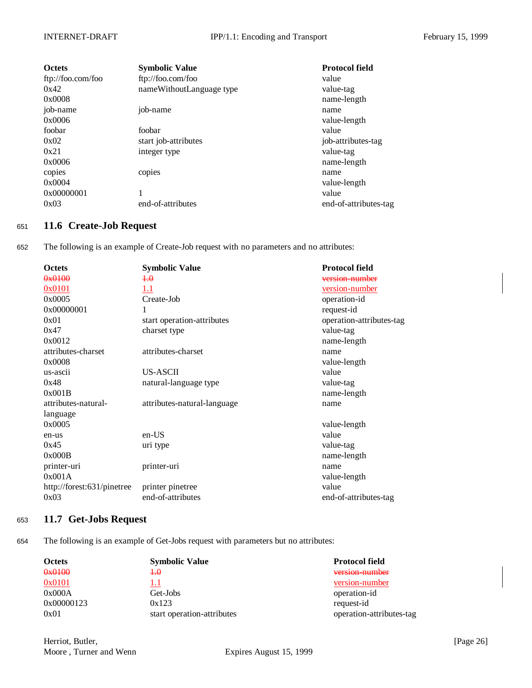| <b>Octets</b>     | <b>Symbolic Value</b>    | <b>Protocol field</b> |
|-------------------|--------------------------|-----------------------|
| ftp://foo.com/foo | ftp://foo.com/foo        | value                 |
| 0x42              | nameWithoutLanguage type | value-tag             |
| 0x0008            |                          | name-length           |
| job-name          | job-name                 | name                  |
| 0x0006            |                          | value-length          |
| foobar            | foobar                   | value                 |
| 0x02              | start job-attributes     | job-attributes-tag    |
| 0x21              | integer type             | value-tag             |
| 0x0006            |                          | name-length           |
| copies            | copies                   | name                  |
| 0x0004            |                          | value-length          |
| 0x00000001        |                          | value                 |
| 0x03              | end-of-attributes        | end-of-attributes-tag |

## <sup>651</sup> **11.6 Create-Job Request**

652 The following is an example of Create-Job request with no parameters and no attributes:

| <b>Octets</b>              | <b>Symbolic Value</b>       | <b>Protocol field</b>    |
|----------------------------|-----------------------------|--------------------------|
| 0x0100                     | $+0$                        | version number           |
| 0x0101                     | $1.1\,$                     | <u>version-number</u>    |
| 0x0005                     | Create-Job                  | operation-id             |
| 0x00000001                 | 1                           | request-id               |
| 0x01                       | start operation-attributes  | operation-attributes-tag |
| 0x47                       | charset type                | value-tag                |
| 0x0012                     |                             | name-length              |
| attributes-charset         | attributes-charset          | name                     |
| 0x0008                     |                             | value-length             |
| us-ascii                   | US-ASCII                    | value                    |
| 0x48                       | natural-language type       | value-tag                |
| 0x001B                     |                             | name-length              |
| attributes-natural-        | attributes-natural-language | name                     |
| language                   |                             |                          |
| 0x0005                     |                             | value-length             |
| en-us                      | en-US                       | value                    |
| 0x45                       | uri type                    | value-tag                |
| 0x000B                     |                             | name-length              |
| printer-uri                | printer-uri                 | name                     |
| 0x001A                     |                             | value-length             |
| http://forest:631/pinetree | printer pinetree            | value                    |
| 0x03                       | end-of-attributes           | end-of-attributes-tag    |

## <sup>653</sup> **11.7 Get-Jobs Request**

654 The following is an example of Get-Jobs request with parameters but no attributes:

| <b>Octets</b> | <b>Symbolic Value</b>      | <b>Protocol field</b>    |
|---------------|----------------------------|--------------------------|
| 0x0100        | $+ \theta$                 | version number           |
| 0x0101        |                            | version-number           |
| 0x000A        | Get-Jobs                   | operation-id             |
| 0x00000123    | 0x123                      | request-id               |
| 0x01          | start operation-attributes | operation-attributes-tag |

Herriot, Butler, [Page 26] Moore, Turner and Wenn Expires August 15, 1999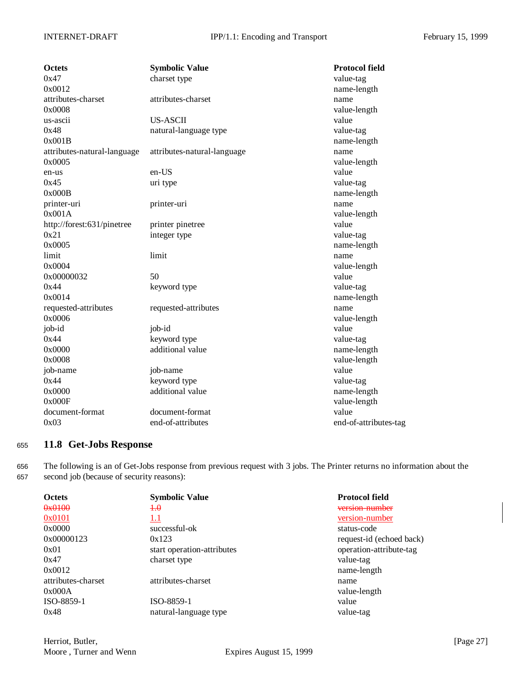| <b>Octets</b>               | <b>Symbolic Value</b>       | <b>Protocol field</b> |
|-----------------------------|-----------------------------|-----------------------|
| 0x47                        | charset type                | value-tag             |
| 0x0012                      |                             | name-length           |
| attributes-charset          | attributes-charset          | name                  |
| 0x0008                      |                             | value-length          |
| us-ascii                    | <b>US-ASCII</b>             | value                 |
| 0x48                        | natural-language type       | value-tag             |
| 0x001B                      |                             | name-length           |
| attributes-natural-language | attributes-natural-language | name                  |
| 0x0005                      |                             | value-length          |
| en-us                       | en-US                       | value                 |
| 0x45                        | uri type                    | value-tag             |
| 0x000B                      |                             | name-length           |
| printer-uri                 | printer-uri                 | name                  |
| 0x001A                      |                             | value-length          |
| http://forest:631/pinetree  | printer pinetree            | value                 |
| 0x21                        | integer type                | value-tag             |
| 0x0005                      |                             | name-length           |
| limit                       | limit                       | name                  |
| 0x0004                      |                             | value-length          |
| 0x00000032                  | 50                          | value                 |
| 0x44                        | keyword type                | value-tag             |
| 0x0014                      |                             | name-length           |
| requested-attributes        | requested-attributes        | name                  |
| 0x0006                      |                             | value-length          |
| job-id                      | job-id                      | value                 |
| 0x44                        | keyword type                | value-tag             |
| 0x0000                      | additional value            | name-length           |
| 0x0008                      |                             | value-length          |
| job-name                    | job-name                    | value                 |
| 0x44                        | keyword type                | value-tag             |
| 0x0000                      | additional value            | name-length           |
| 0x000F                      |                             | value-length          |
| document-format             | document-format             | value                 |
| 0x03                        | end-of-attributes           | end-of-attributes-tag |

### <sup>655</sup> **11.8 Get-Jobs Response**

656 The following is an of Get-Jobs response from previous request with 3 jobs. The Printer returns no information about the 657 second job (because of security reasons):

| <b>Octets</b>      | <b>Symbolic Value</b>      | <b>Protocol field</b>    |
|--------------------|----------------------------|--------------------------|
| 0x0100             | $+0$                       | version number           |
| 0x0101             | 1.1                        | version-number           |
| 0x0000             | successful-ok              | status-code              |
| 0x00000123         | 0x123                      | request-id (echoed back) |
| 0x01               | start operation-attributes | operation-attribute-tag  |
| 0x47               | charset type               | value-tag                |
| 0x0012             |                            | name-length              |
| attributes-charset | attributes-charset         | name                     |
| 0x000A             |                            | value-length             |
| ISO-8859-1         | ISO-8859-1                 | value                    |
| 0x48               | natural-language type      | value-tag                |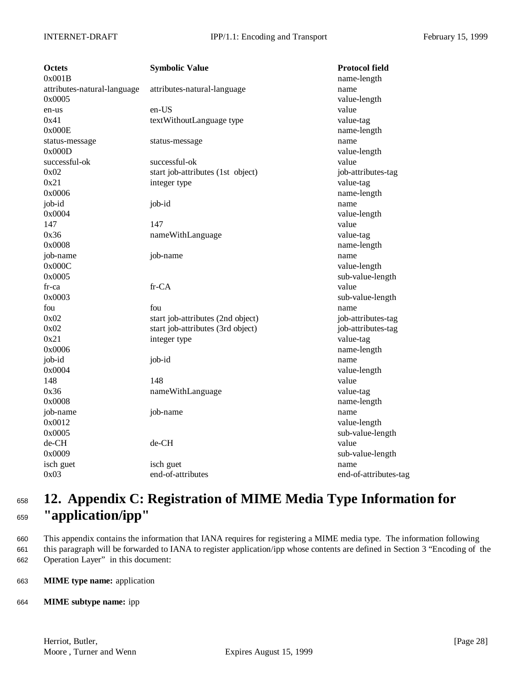| Octets                      | <b>Symbolic Value</b>             | <b>Protocol field</b> |
|-----------------------------|-----------------------------------|-----------------------|
| 0x001B                      |                                   | name-length           |
| attributes-natural-language | attributes-natural-language       | name                  |
| 0x0005                      |                                   | value-length          |
| en-us                       | $en-US$                           | value                 |
| 0x41                        | textWithoutLanguage type          | value-tag             |
| 0x000E                      |                                   | name-length           |
| status-message              | status-message                    | name                  |
| 0x000D                      |                                   | value-length          |
| successful-ok               | successful-ok                     | value                 |
| 0x02                        | start job-attributes (1st object) | job-attributes-tag    |
| 0x21                        | integer type                      | value-tag             |
| 0x0006                      |                                   | name-length           |
| job-id                      | job-id                            | name                  |
| 0x0004                      |                                   | value-length          |
| 147                         | 147                               | value                 |
| 0x36                        | nameWithLanguage                  | value-tag             |
| 0x0008                      |                                   | name-length           |
| job-name                    | job-name                          | name                  |
| 0x000C                      |                                   | value-length          |
| 0x0005                      |                                   | sub-value-length      |
| fr-ca                       | fr-CA                             | value                 |
| 0x0003                      |                                   | sub-value-length      |
| fou                         | fou                               | name                  |
| 0x02                        | start job-attributes (2nd object) | job-attributes-tag    |
| 0x02                        | start job-attributes (3rd object) | job-attributes-tag    |
| 0x21                        | integer type                      | value-tag             |
| 0x0006                      |                                   | name-length           |
| job-id                      | job-id                            | name                  |
| 0x0004                      |                                   | value-length          |
| 148                         | 148                               | value                 |
| 0x36                        | nameWithLanguage                  | value-tag             |
| 0x0008                      |                                   | name-length           |
| job-name                    | job-name                          | name                  |
| 0x0012                      |                                   | value-length          |
| 0x0005                      |                                   | sub-value-length      |
| de-CH                       | de-CH                             | value                 |
| 0x0009                      |                                   | sub-value-length      |
| isch guet                   | isch guet                         | name                  |
| 0x03                        | end-of-attributes                 | end-of-attributes-tag |

# <sup>658</sup> **12. Appendix C: Registration of MIME Media Type Information for** <sup>659</sup> **"application/ipp"**

660 This appendix contains the information that IANA requires for registering a MIME media type. The information following 661 this paragraph will be forwarded to IANA to register application/ipp whose contents are defined in Section 3 "Encoding of the 662 Operation Layer" in this document:

663 **MIME type name:** application

### 664 **MIME subtype name:** ipp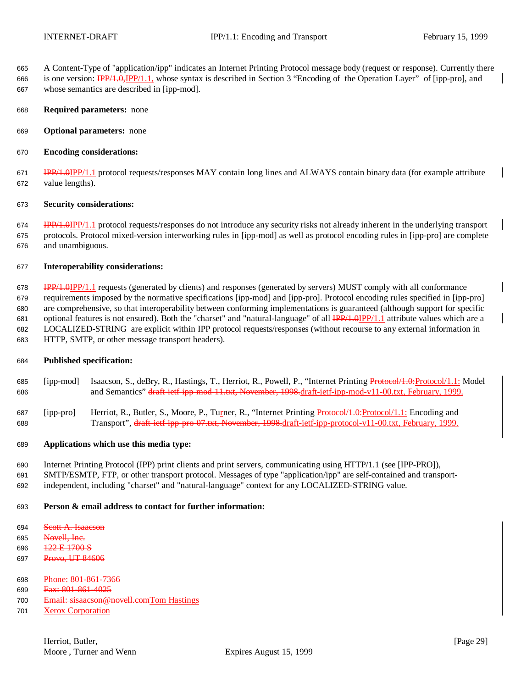A Content-Type of "application/ipp" indicates an Internet Printing Protocol message body (request or response). Currently there 666 is one version:  $\frac{IPP}{1.0}$ ,  $\frac{IPP}{1.1}$ , whose syntax is described in Section 3 "Encoding of the Operation Layer" of [ipp-pro], and whose semantics are described in [ipp-mod].

- **Required parameters:** none
- **Optional parameters:** none
- **Encoding considerations:**

671 IPP/1.0IPP/1.1 protocol requests/responses MAY contain long lines and ALWAYS contain binary data (for example attribute value lengths).

#### **Security considerations:**

**IPP/1.0IPP/1.1** protocol requests/responses do not introduce any security risks not already inherent in the underlying transport protocols. Protocol mixed-version interworking rules in [ipp-mod] as well as protocol encoding rules in [ipp-pro] are complete and unambiguous.

#### **Interoperability considerations:**

 IPP/1.0IPP/1.1 requests (generated by clients) and responses (generated by servers) MUST comply with all conformance requirements imposed by the normative specifications [ipp-mod] and [ipp-pro]. Protocol encoding rules specified in [ipp-pro] are comprehensive, so that interoperability between conforming implementations is guaranteed (although support for specific 681 optional features is not ensured). Both the "charset" and "natural-language" of all  $\frac{IPP}{1.0}$   $IPP/1.1$  attribute values which are a LOCALIZED-STRING are explicit within IPP protocol requests/responses (without recourse to any external information in HTTP, SMTP, or other message transport headers).

#### **Published specification:**

685 [ipp-mod] Isaacson, S., deBry, R., Hastings, T., Herriot, R., Powell, P., "Internet Printing Protocol/1.0:Protocol/1.1: Model 686 and Semantics" draft-ietf-ipp-mod-11.txt, November, 1998.draft-ietf-ipp-mod-v11-00.txt, February, 1999.

687 [ipp-pro] Herriot, R., Butler, S., Moore, P., Turner, R., "Internet Printing Protocol/1.0: Protocol/1.1: Encoding and Transport", draft-ietf-ipp-pro-07.txt, November, 1998.draft-ietf-ipp-protocol-v11-00.txt, February, 1999.

#### **Applications which use this media type:**

 Internet Printing Protocol (IPP) print clients and print servers, communicating using HTTP/1.1 (see [IPP-PRO]), SMTP/ESMTP, FTP, or other transport protocol. Messages of type "application/ipp" are self-contained and transport-independent, including "charset" and "natural-language" context for any LOCALIZED-STRING value.

### **Person & email address to contact for further information:**

694 Scott A. Isaacson

- Novell, Inc.
- 122 E 1700 S
- 697 Provo, UT 84606
- Phone: 801-861-7366
- Fax: 801-861-4025
- Email: sisaacson@novell.comTom Hastings
- Xerox Corporation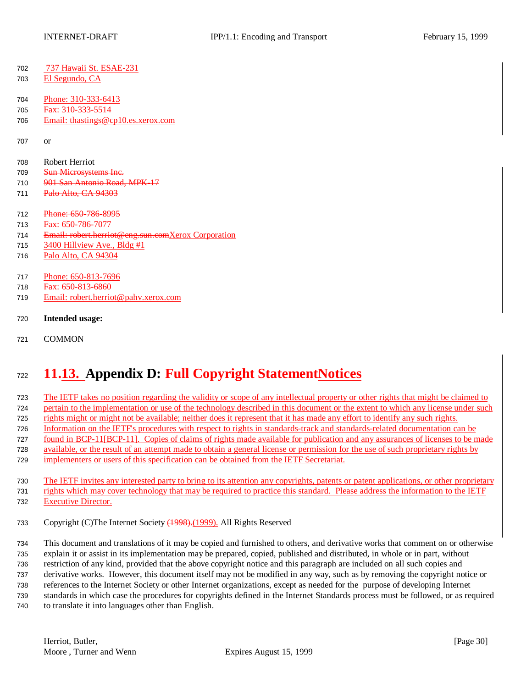- 737 Hawaii St. ESAE-231
- El Segundo, CA
- Phone: 310-333-6413
- Fax: 310-333-5514
- Email: thastings@cp10.es.xerox.com

or

- Robert Herriot
- 709 Sun Microsystems Inc.
- 901 San Antonio Road, MPK-17
- 711 Palo Alto, CA 94303
- 712 Phone: 650-786-8995
- 713 Fax: 650-786-7077
- Email: robert.herriot@eng.sun.comXerox Corporation
- 715 Hillview Ave., Bldg #1
- Palo Alto, CA 94304
- Phone: 650-813-7696
- Fax: 650-813-6860
- Email: robert.herriot@pahv.xerox.com
- **Intended usage:**
- COMMON

# **11.13. Appendix D: Full Copyright StatementNotices**

 The IETF takes no position regarding the validity or scope of any intellectual property or other rights that might be claimed to pertain to the implementation or use of the technology described in this document or the extent to which any license under such rights might or might not be available; neither does it represent that it has made any effort to identify any such rights. Information on the IETF's procedures with respect to rights in standards-track and standards-related documentation can be found in BCP-11[BCP-11]. Copies of claims of rights made available for publication and any assurances of licenses to be made available, or the result of an attempt made to obtain a general license or permission for the use of such proprietary rights by implementers or users of this specification can be obtained from the IETF Secretariat.

 The IETF invites any interested party to bring to its attention any copyrights, patents or patent applications, or other proprietary rights which may cover technology that may be required to practice this standard. Please address the information to the IETF Executive Director.

Copyright (C)The Internet Society (1998).(1999). All Rights Reserved

 This document and translations of it may be copied and furnished to others, and derivative works that comment on or otherwise explain it or assist in its implementation may be prepared, copied, published and distributed, in whole or in part, without restriction of any kind, provided that the above copyright notice and this paragraph are included on all such copies and derivative works. However, this document itself may not be modified in any way, such as by removing the copyright notice or references to the Internet Society or other Internet organizations, except as needed for the purpose of developing Internet standards in which case the procedures for copyrights defined in the Internet Standards process must be followed, or as required to translate it into languages other than English.